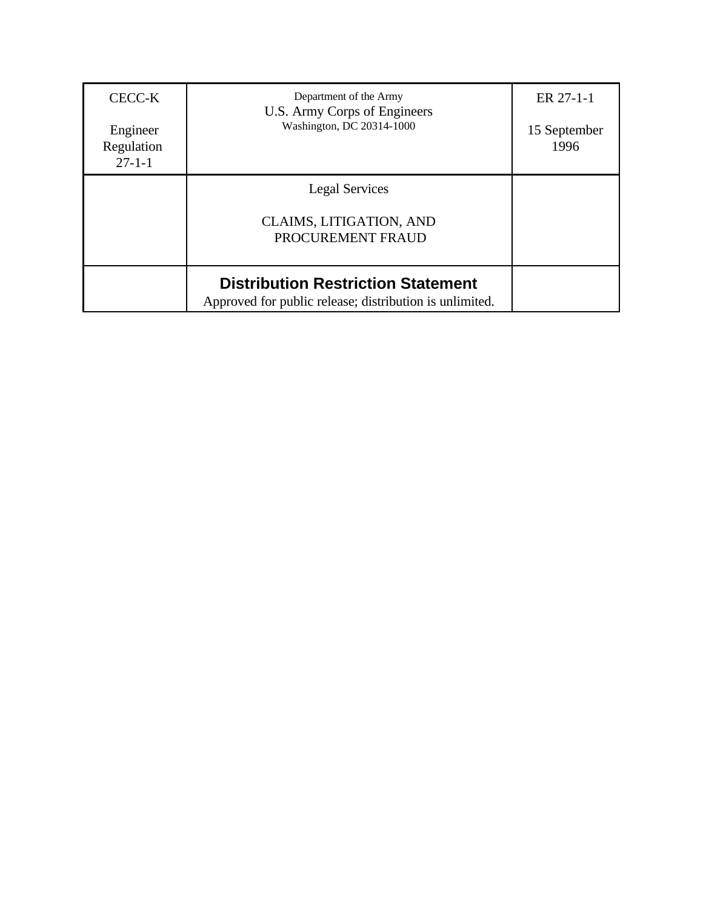| CECC-K<br>Engineer<br>Regulation<br>$27 - 1 - 1$ | Department of the Army<br>U.S. Army Corps of Engineers<br>Washington, DC 20314-1000                  | ER 27-1-1<br>15 September<br>1996 |
|--------------------------------------------------|------------------------------------------------------------------------------------------------------|-----------------------------------|
|                                                  | <b>Legal Services</b><br><b>CLAIMS, LITIGATION, AND</b><br>PROCUREMENT FRAUD                         |                                   |
|                                                  | <b>Distribution Restriction Statement</b><br>Approved for public release; distribution is unlimited. |                                   |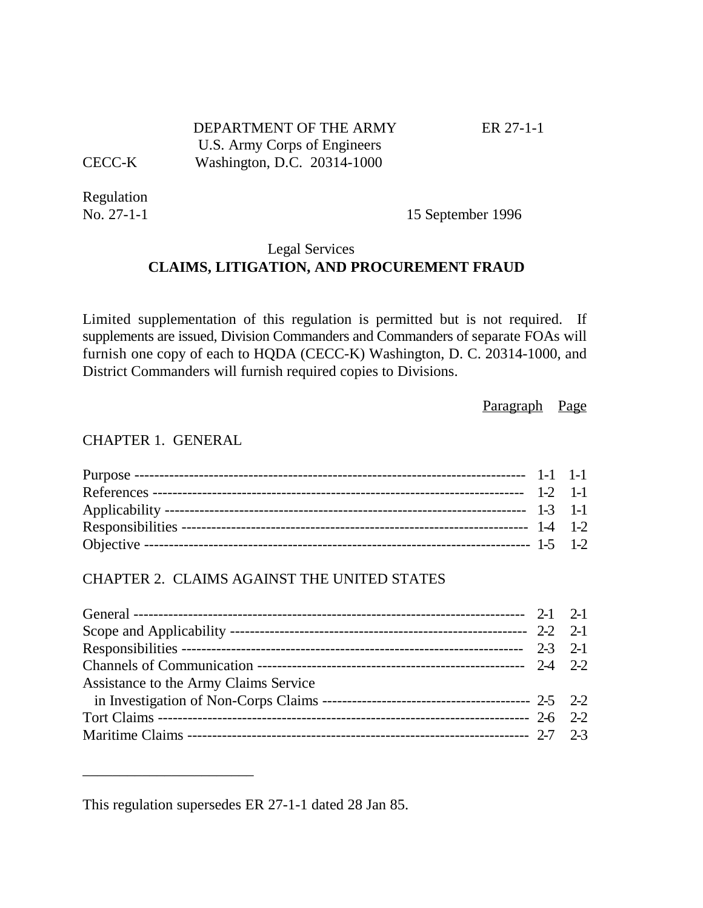# DEPARTMENT OF THE ARMY ER 27-1-1 U.S. Army Corps of Engineers CECC-K Washington, D.C. 20314-1000

Regulation

No. 27-1-1 15 September 1996

# Legal Services **CLAIMS, LITIGATION, AND PROCUREMENT FRAUD**

Limited supplementation of this regulation is permitted but is not required. If supplements are issued, Division Commanders and Commanders of separate FOAs will furnish one copy of each to HQDA (CECC-K) Washington, D. C. 20314-1000, and District Commanders will furnish required copies to Divisions.

Paragraph Page

#### CHAPTER 1. GENERAL

\_\_\_\_\_\_\_\_\_\_\_\_\_\_\_\_\_\_\_\_\_\_\_

## CHAPTER 2. CLAIMS AGAINST THE UNITED STATES

| Assistance to the Army Claims Service |  |
|---------------------------------------|--|
|                                       |  |
|                                       |  |
|                                       |  |
|                                       |  |

This regulation supersedes ER 27-1-1 dated 28 Jan 85.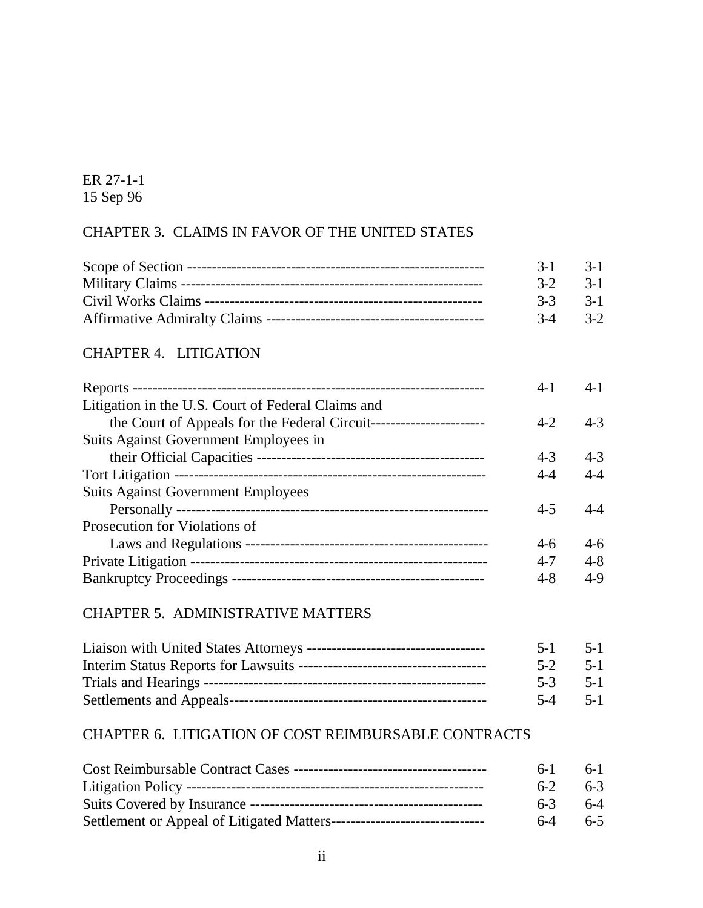# CHAPTER 3. CLAIMS IN FAVOR OF THE UNITED STATES

|  | $3-1$ $3-1$ |
|--|-------------|
|  | $3-2$ $3-1$ |
|  | $3-3$ $3-1$ |
|  | $3-4$ $3-2$ |

# CHAPTER 4. LITIGATION

|                                                                     | $4-1$   | $4-1$   |
|---------------------------------------------------------------------|---------|---------|
| Litigation in the U.S. Court of Federal Claims and                  |         |         |
| the Court of Appeals for the Federal Circuit----------------------- | $4 - 2$ | $4 - 3$ |
| Suits Against Government Employees in                               |         |         |
|                                                                     | $4 - 3$ | $4 - 3$ |
|                                                                     | $4 - 4$ | $4-4$   |
| <b>Suits Against Government Employees</b>                           |         |         |
|                                                                     | $4 - 5$ |         |
| Prosecution for Violations of                                       |         |         |
|                                                                     | $4-6$   | $4-6$   |
|                                                                     | $4 - 7$ | $4 - 8$ |
|                                                                     | 4-8     | $4-9$   |
|                                                                     |         |         |

# CHAPTER 5. ADMINISTRATIVE MATTERS

| $5-1$ $5-1$ |         |
|-------------|---------|
| $5-2$ $5-1$ |         |
| $5-3$       | $5 - 1$ |
| $5-4$       | $5 - 1$ |

# CHAPTER 6. LITIGATION OF COST REIMBURSABLE CONTRACTS

| $6-1$ | 6-L   |
|-------|-------|
| $6-2$ | $6-3$ |
| $6-3$ | $6-4$ |
| $6-4$ | $6-5$ |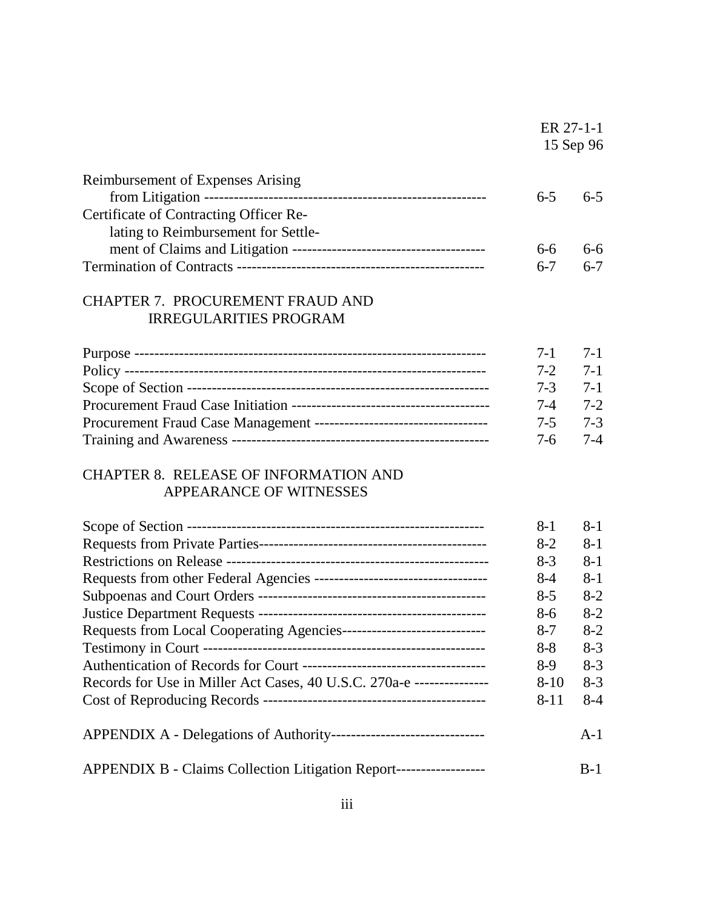|                                        |         | ER 27-1-1<br>15 Sep 96 |
|----------------------------------------|---------|------------------------|
| Reimbursement of Expenses Arising      | $6-5$   | $6-5$                  |
| Certificate of Contracting Officer Re- |         |                        |
| lating to Reimbursement for Settle-    |         |                        |
|                                        | 6-6     | 6-6                    |
|                                        | $6 - 7$ | $6-7$                  |

# CHAPTER 7. PROCUREMENT FRAUD AND IRREGULARITIES PROGRAM

| 7-1 7-1     |         |
|-------------|---------|
| $7-2$ $7-1$ |         |
| $7-3$ 7-1   |         |
| $7-4$ $7-2$ |         |
| $7-5$ 7-3   |         |
| $7-6$       | $7 - 4$ |

# CHAPTER 8. RELEASE OF INFORMATION AND APPEARANCE OF WITNESSES

|                                                                       | $8 - 1$  | $8 - 1$ |
|-----------------------------------------------------------------------|----------|---------|
|                                                                       | $8-2$    | $8-1$   |
|                                                                       | $8-3$    | $8-1$   |
|                                                                       | $8-4$    | $8 - 1$ |
|                                                                       | $8 - 5$  | $8-2$   |
|                                                                       | $8-6$    | $8-2$   |
|                                                                       | $8 - 7$  | $8-2$   |
|                                                                       | $8 - 8$  | $8-3$   |
|                                                                       | $8-9$    | $8-3$   |
| Records for Use in Miller Act Cases, 40 U.S.C. 270a-e --------------- | $8 - 10$ | $8-3$   |
|                                                                       | $8 - 11$ | $8-4$   |
|                                                                       |          | $A-1$   |
| APPENDIX B - Claims Collection Litigation Report------------------    |          | $B-1$   |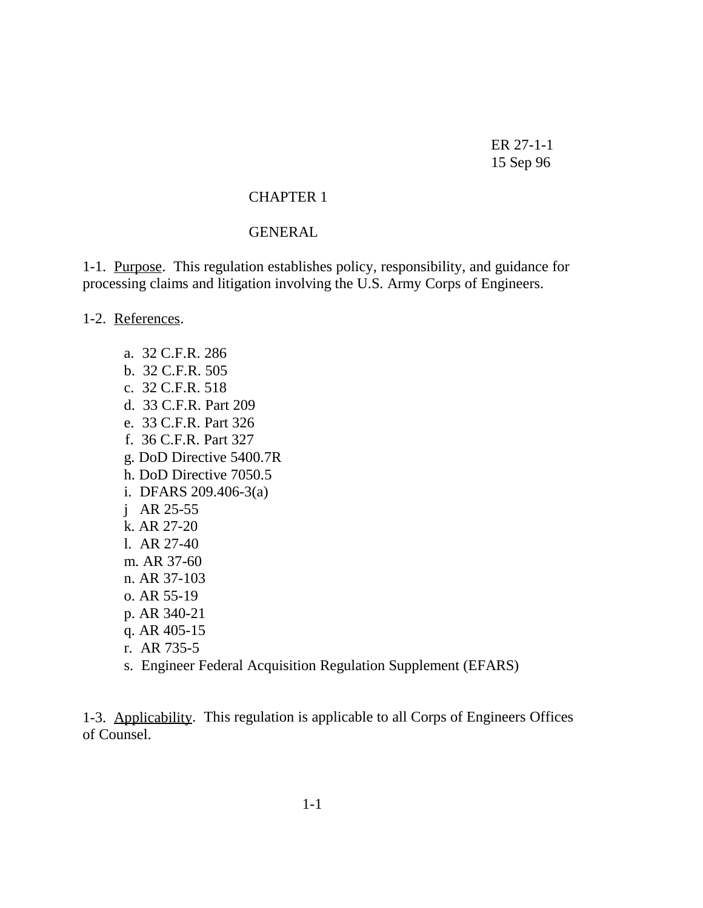#### CHAPTER 1

#### **GENERAL**

1-1. Purpose. This regulation establishes policy, responsibility, and guidance for processing claims and litigation involving the U.S. Army Corps of Engineers.

1-2. References.

 a. 32 C.F.R. 286 b. 32 C.F.R. 505 c. 32 C.F.R. 518 d. 33 C.F.R. Part 209 e. 33 C.F.R. Part 326 f. 36 C.F.R. Part 327 g. DoD Directive 5400.7R h. DoD Directive 7050.5 i. DFARS 209.406-3(a) j AR 25-55 k. AR 27-20 l. AR 27-40 m. AR 37-60 n. AR 37-103 o. AR 55-19 p. AR 340-21 q. AR 405-15 r. AR 735-5 s. Engineer Federal Acquisition Regulation Supplement (EFARS)

1-3. Applicability. This regulation is applicable to all Corps of Engineers Offices of Counsel.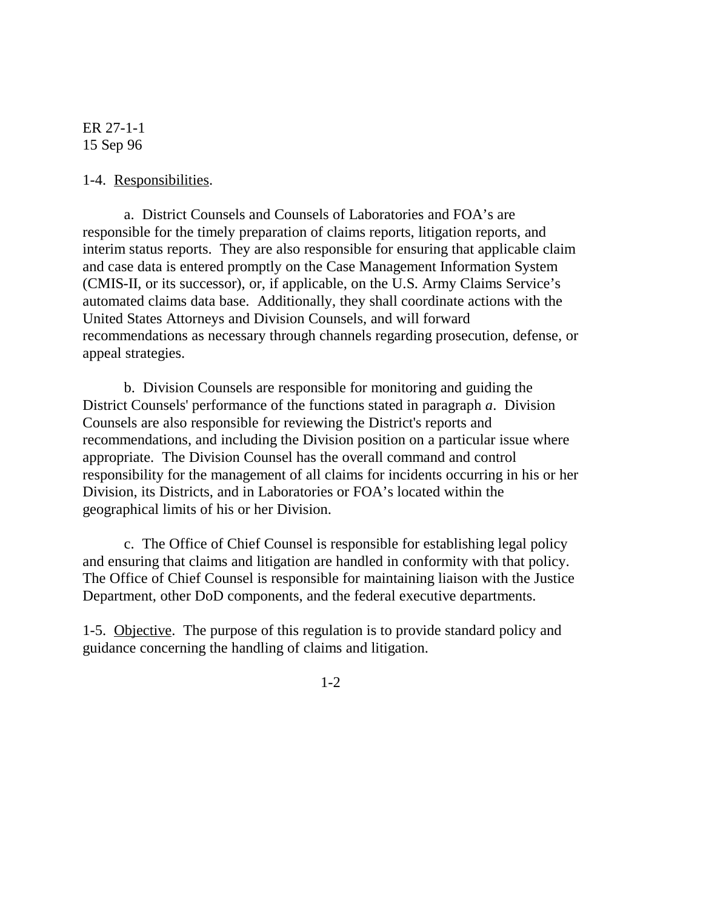1-4. Responsibilities.

a. District Counsels and Counsels of Laboratories and FOA's are responsible for the timely preparation of claims reports, litigation reports, and interim status reports. They are also responsible for ensuring that applicable claim and case data is entered promptly on the Case Management Information System (CMIS-II, or its successor), or, if applicable, on the U.S. Army Claims Service's automated claims data base. Additionally, they shall coordinate actions with the United States Attorneys and Division Counsels, and will forward recommendations as necessary through channels regarding prosecution, defense, or appeal strategies.

b. Division Counsels are responsible for monitoring and guiding the District Counsels' performance of the functions stated in paragraph *a*. Division Counsels are also responsible for reviewing the District's reports and recommendations, and including the Division position on a particular issue where appropriate. The Division Counsel has the overall command and control responsibility for the management of all claims for incidents occurring in his or her Division, its Districts, and in Laboratories or FOA's located within the geographical limits of his or her Division.

c. The Office of Chief Counsel is responsible for establishing legal policy and ensuring that claims and litigation are handled in conformity with that policy. The Office of Chief Counsel is responsible for maintaining liaison with the Justice Department, other DoD components, and the federal executive departments.

1-5. Objective. The purpose of this regulation is to provide standard policy and guidance concerning the handling of claims and litigation.

1-2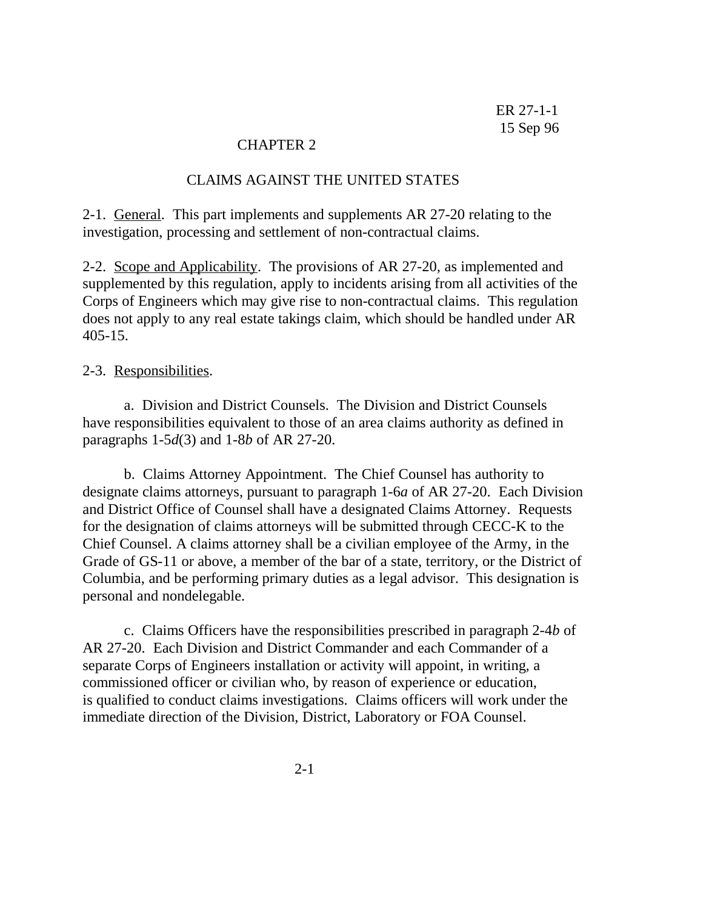#### CHAPTER 2

#### CLAIMS AGAINST THE UNITED STATES

2-1. General. This part implements and supplements AR 27-20 relating to the investigation, processing and settlement of non-contractual claims.

2-2. Scope and Applicability. The provisions of AR 27-20, as implemented and supplemented by this regulation, apply to incidents arising from all activities of the Corps of Engineers which may give rise to non-contractual claims. This regulation does not apply to any real estate takings claim, which should be handled under AR 405-15.

#### 2-3. Responsibilities.

a. Division and District Counsels. The Division and District Counsels have responsibilities equivalent to those of an area claims authority as defined in paragraphs 1-5*d*(3) and 1-8*b* of AR 27-20.

b. Claims Attorney Appointment. The Chief Counsel has authority to designate claims attorneys, pursuant to paragraph 1-6*a* of AR 27-20. Each Division and District Office of Counsel shall have a designated Claims Attorney. Requests for the designation of claims attorneys will be submitted through CECC-K to the Chief Counsel. A claims attorney shall be a civilian employee of the Army, in the Grade of GS-11 or above, a member of the bar of a state, territory, or the District of Columbia, and be performing primary duties as a legal advisor. This designation is personal and nondelegable.

c. Claims Officers have the responsibilities prescribed in paragraph 2-4*b* of AR 27-20. Each Division and District Commander and each Commander of a separate Corps of Engineers installation or activity will appoint, in writing, a commissioned officer or civilian who, by reason of experience or education, is qualified to conduct claims investigations. Claims officers will work under the immediate direction of the Division, District, Laboratory or FOA Counsel.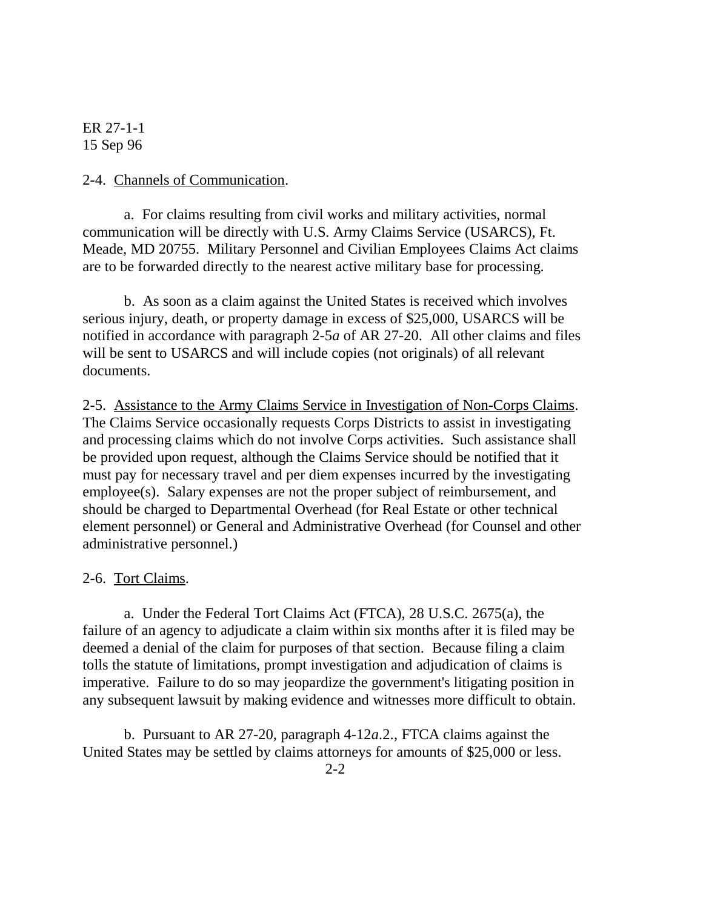#### 2-4. Channels of Communication.

a. For claims resulting from civil works and military activities, normal communication will be directly with U.S. Army Claims Service (USARCS), Ft. Meade, MD 20755. Military Personnel and Civilian Employees Claims Act claims are to be forwarded directly to the nearest active military base for processing.

b. As soon as a claim against the United States is received which involves serious injury, death, or property damage in excess of \$25,000, USARCS will be notified in accordance with paragraph 2-5*a* of AR 27-20. All other claims and files will be sent to USARCS and will include copies (not originals) of all relevant documents.

2-5. Assistance to the Army Claims Service in Investigation of Non-Corps Claims. The Claims Service occasionally requests Corps Districts to assist in investigating and processing claims which do not involve Corps activities. Such assistance shall be provided upon request, although the Claims Service should be notified that it must pay for necessary travel and per diem expenses incurred by the investigating employee(s). Salary expenses are not the proper subject of reimbursement, and should be charged to Departmental Overhead (for Real Estate or other technical element personnel) or General and Administrative Overhead (for Counsel and other administrative personnel.)

#### 2-6. Tort Claims.

a. Under the Federal Tort Claims Act (FTCA), 28 U.S.C. 2675(a), the failure of an agency to adjudicate a claim within six months after it is filed may be deemed a denial of the claim for purposes of that section. Because filing a claim tolls the statute of limitations, prompt investigation and adjudication of claims is imperative. Failure to do so may jeopardize the government's litigating position in any subsequent lawsuit by making evidence and witnesses more difficult to obtain.

b. Pursuant to AR 27-20, paragraph 4-12*a*.2., FTCA claims against the United States may be settled by claims attorneys for amounts of \$25,000 or less.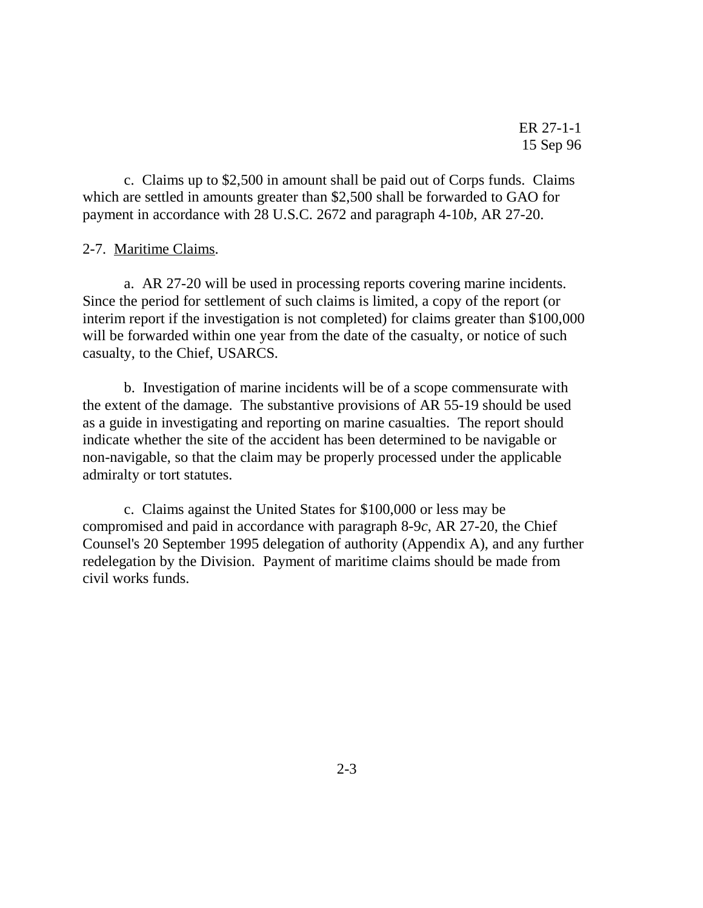c. Claims up to \$2,500 in amount shall be paid out of Corps funds. Claims which are settled in amounts greater than \$2,500 shall be forwarded to GAO for payment in accordance with 28 U.S.C. 2672 and paragraph 4-10*b*, AR 27-20.

#### 2-7. Maritime Claims.

a. AR 27-20 will be used in processing reports covering marine incidents. Since the period for settlement of such claims is limited, a copy of the report (or interim report if the investigation is not completed) for claims greater than \$100,000 will be forwarded within one year from the date of the casualty, or notice of such casualty, to the Chief, USARCS.

b. Investigation of marine incidents will be of a scope commensurate with the extent of the damage. The substantive provisions of AR 55-19 should be used as a guide in investigating and reporting on marine casualties. The report should indicate whether the site of the accident has been determined to be navigable or non-navigable, so that the claim may be properly processed under the applicable admiralty or tort statutes.

c. Claims against the United States for \$100,000 or less may be compromised and paid in accordance with paragraph 8-9*c*, AR 27-20, the Chief Counsel's 20 September 1995 delegation of authority (Appendix A), and any further redelegation by the Division. Payment of maritime claims should be made from civil works funds.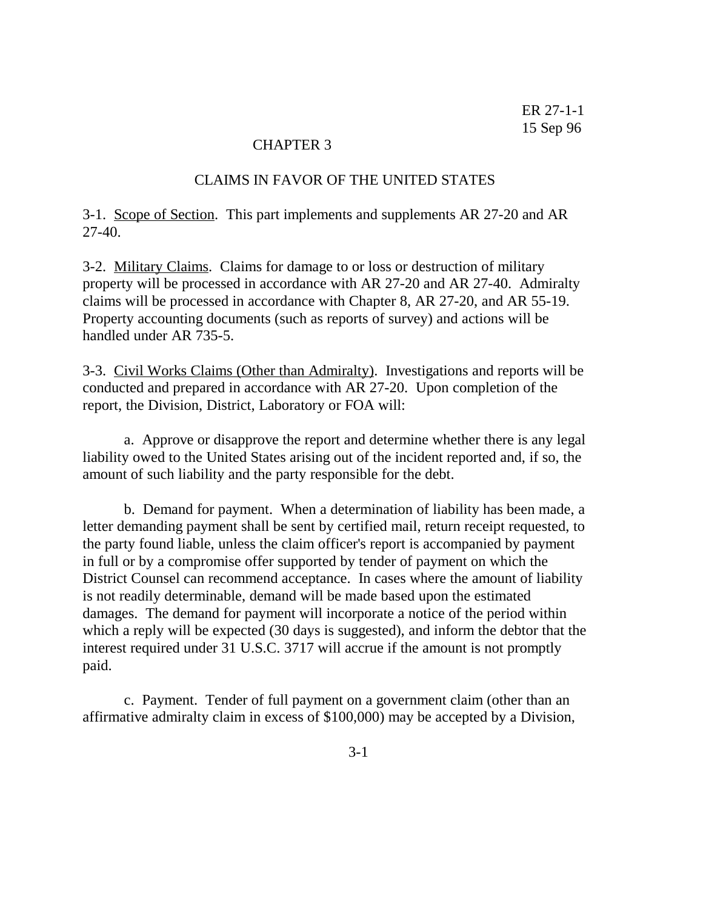#### CHAPTER 3

#### CLAIMS IN FAVOR OF THE UNITED STATES

3-1. Scope of Section. This part implements and supplements AR 27-20 and AR 27-40.

3-2. Military Claims. Claims for damage to or loss or destruction of military property will be processed in accordance with AR 27-20 and AR 27-40. Admiralty claims will be processed in accordance with Chapter 8, AR 27-20, and AR 55-19. Property accounting documents (such as reports of survey) and actions will be handled under AR 735-5.

3-3. Civil Works Claims (Other than Admiralty). Investigations and reports will be conducted and prepared in accordance with AR 27-20. Upon completion of the report, the Division, District, Laboratory or FOA will:

a. Approve or disapprove the report and determine whether there is any legal liability owed to the United States arising out of the incident reported and, if so, the amount of such liability and the party responsible for the debt.

b. Demand for payment. When a determination of liability has been made, a letter demanding payment shall be sent by certified mail, return receipt requested, to the party found liable, unless the claim officer's report is accompanied by payment in full or by a compromise offer supported by tender of payment on which the District Counsel can recommend acceptance. In cases where the amount of liability is not readily determinable, demand will be made based upon the estimated damages. The demand for payment will incorporate a notice of the period within which a reply will be expected (30 days is suggested), and inform the debtor that the interest required under 31 U.S.C. 3717 will accrue if the amount is not promptly paid.

c. Payment. Tender of full payment on a government claim (other than an affirmative admiralty claim in excess of \$100,000) may be accepted by a Division,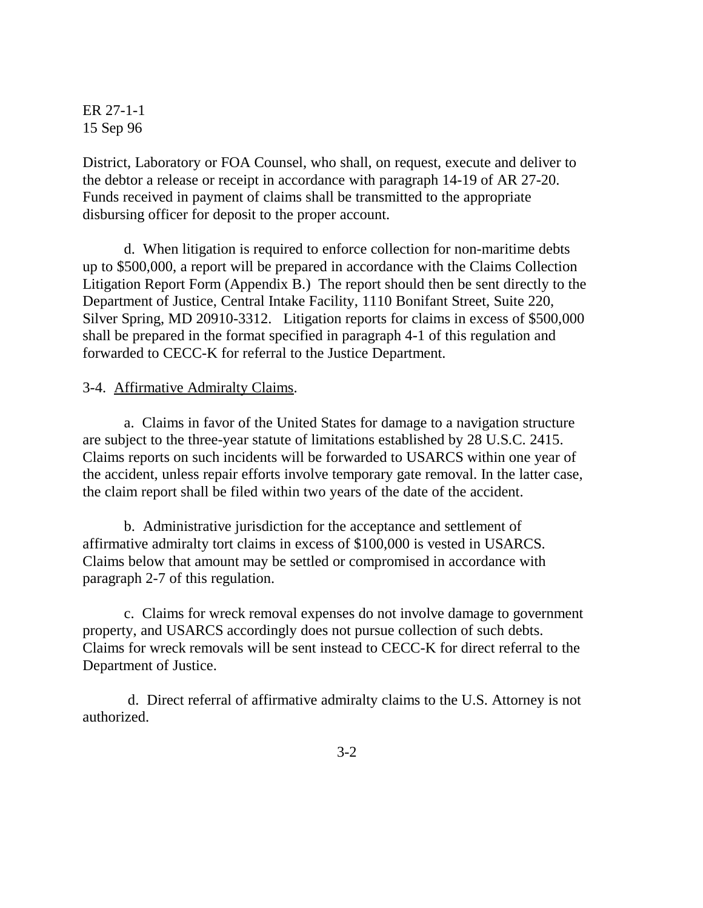District, Laboratory or FOA Counsel, who shall, on request, execute and deliver to the debtor a release or receipt in accordance with paragraph 14-19 of AR 27-20. Funds received in payment of claims shall be transmitted to the appropriate disbursing officer for deposit to the proper account.

d. When litigation is required to enforce collection for non-maritime debts up to \$500,000, a report will be prepared in accordance with the Claims Collection Litigation Report Form (Appendix B.) The report should then be sent directly to the Department of Justice, Central Intake Facility, 1110 Bonifant Street, Suite 220, Silver Spring, MD 20910-3312. Litigation reports for claims in excess of \$500,000 shall be prepared in the format specified in paragraph 4-1 of this regulation and forwarded to CECC-K for referral to the Justice Department.

## 3-4. Affirmative Admiralty Claims.

a. Claims in favor of the United States for damage to a navigation structure are subject to the three-year statute of limitations established by 28 U.S.C. 2415. Claims reports on such incidents will be forwarded to USARCS within one year of the accident, unless repair efforts involve temporary gate removal. In the latter case, the claim report shall be filed within two years of the date of the accident.

b. Administrative jurisdiction for the acceptance and settlement of affirmative admiralty tort claims in excess of \$100,000 is vested in USARCS. Claims below that amount may be settled or compromised in accordance with paragraph 2-7 of this regulation.

c. Claims for wreck removal expenses do not involve damage to government property, and USARCS accordingly does not pursue collection of such debts. Claims for wreck removals will be sent instead to CECC-K for direct referral to the Department of Justice.

 d. Direct referral of affirmative admiralty claims to the U.S. Attorney is not authorized.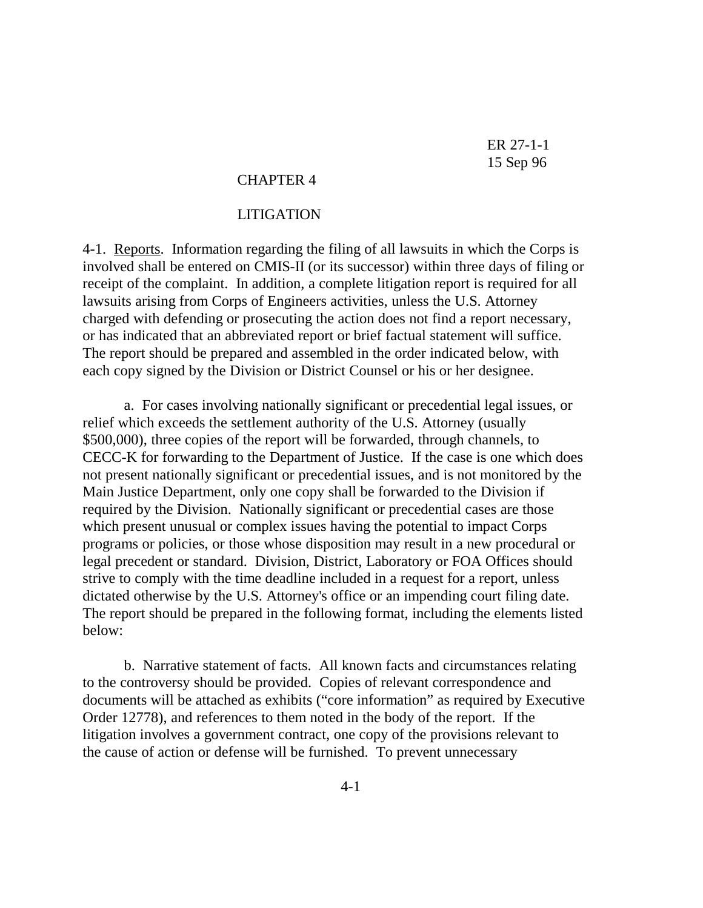## CHAPTER 4

#### LITIGATION

4-1. Reports. Information regarding the filing of all lawsuits in which the Corps is involved shall be entered on CMIS-II (or its successor) within three days of filing or receipt of the complaint. In addition, a complete litigation report is required for all lawsuits arising from Corps of Engineers activities, unless the U.S. Attorney charged with defending or prosecuting the action does not find a report necessary, or has indicated that an abbreviated report or brief factual statement will suffice. The report should be prepared and assembled in the order indicated below, with each copy signed by the Division or District Counsel or his or her designee.

a. For cases involving nationally significant or precedential legal issues, or relief which exceeds the settlement authority of the U.S. Attorney (usually \$500,000), three copies of the report will be forwarded, through channels, to CECC-K for forwarding to the Department of Justice. If the case is one which does not present nationally significant or precedential issues, and is not monitored by the Main Justice Department, only one copy shall be forwarded to the Division if required by the Division. Nationally significant or precedential cases are those which present unusual or complex issues having the potential to impact Corps programs or policies, or those whose disposition may result in a new procedural or legal precedent or standard. Division, District, Laboratory or FOA Offices should strive to comply with the time deadline included in a request for a report, unless dictated otherwise by the U.S. Attorney's office or an impending court filing date. The report should be prepared in the following format, including the elements listed below:

b. Narrative statement of facts. All known facts and circumstances relating to the controversy should be provided. Copies of relevant correspondence and documents will be attached as exhibits ("core information" as required by Executive Order 12778), and references to them noted in the body of the report. If the litigation involves a government contract, one copy of the provisions relevant to the cause of action or defense will be furnished. To prevent unnecessary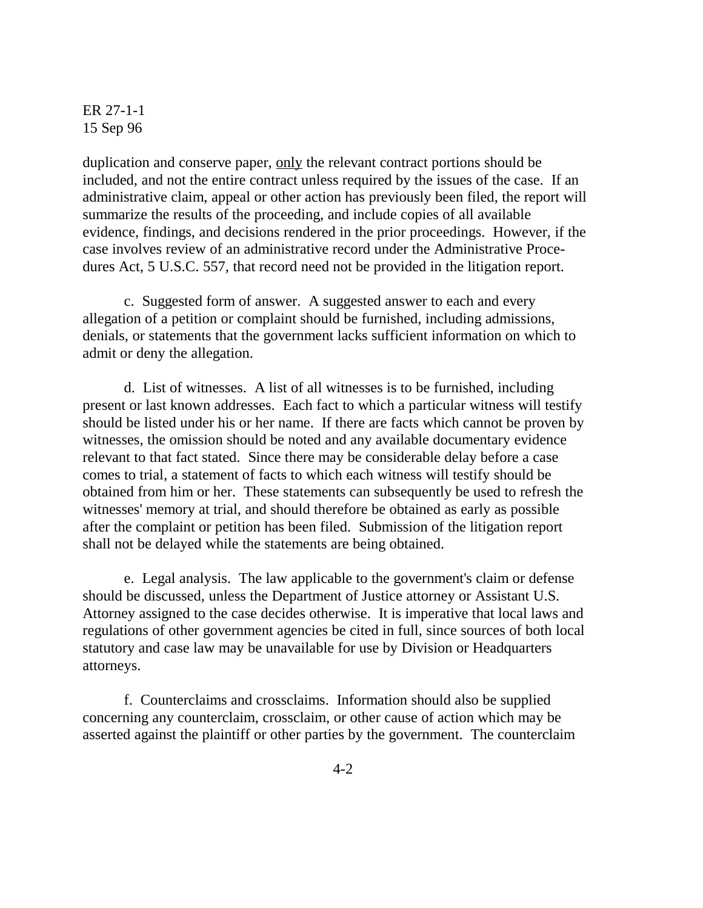duplication and conserve paper, <u>only</u> the relevant contract portions should be included, and not the entire contract unless required by the issues of the case. If an administrative claim, appeal or other action has previously been filed, the report will summarize the results of the proceeding, and include copies of all available evidence, findings, and decisions rendered in the prior proceedings. However, if the case involves review of an administrative record under the Administrative Procedures Act, 5 U.S.C. 557, that record need not be provided in the litigation report.

c. Suggested form of answer. A suggested answer to each and every allegation of a petition or complaint should be furnished, including admissions, denials, or statements that the government lacks sufficient information on which to admit or deny the allegation.

d. List of witnesses. A list of all witnesses is to be furnished, including present or last known addresses. Each fact to which a particular witness will testify should be listed under his or her name. If there are facts which cannot be proven by witnesses, the omission should be noted and any available documentary evidence relevant to that fact stated. Since there may be considerable delay before a case comes to trial, a statement of facts to which each witness will testify should be obtained from him or her. These statements can subsequently be used to refresh the witnesses' memory at trial, and should therefore be obtained as early as possible after the complaint or petition has been filed. Submission of the litigation report shall not be delayed while the statements are being obtained.

e. Legal analysis. The law applicable to the government's claim or defense should be discussed, unless the Department of Justice attorney or Assistant U.S. Attorney assigned to the case decides otherwise. It is imperative that local laws and regulations of other government agencies be cited in full, since sources of both local statutory and case law may be unavailable for use by Division or Headquarters attorneys.

f. Counterclaims and crossclaims. Information should also be supplied concerning any counterclaim, crossclaim, or other cause of action which may be asserted against the plaintiff or other parties by the government. The counterclaim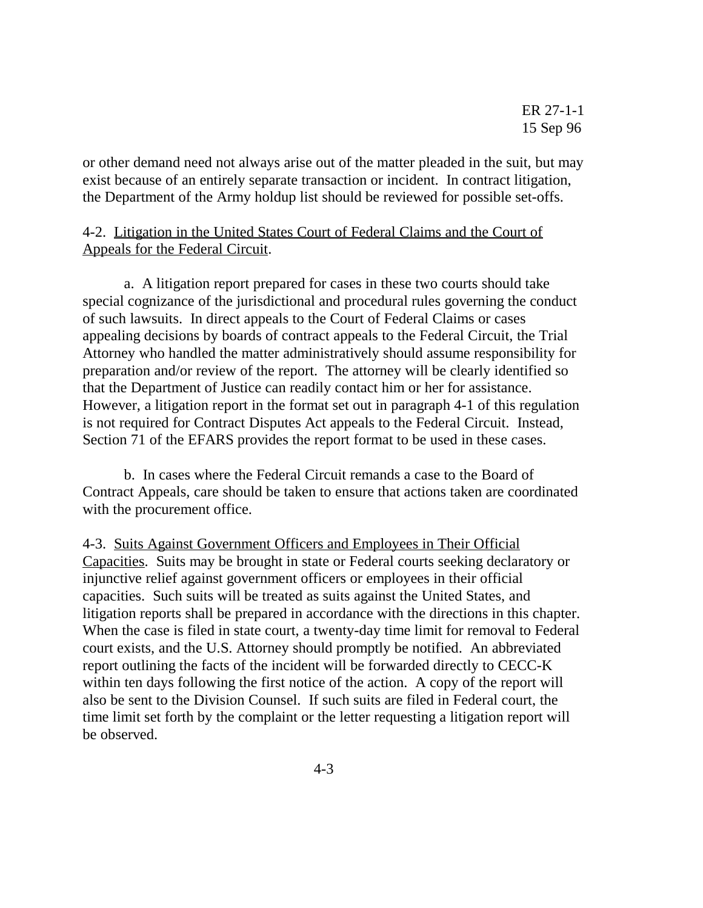or other demand need not always arise out of the matter pleaded in the suit, but may exist because of an entirely separate transaction or incident. In contract litigation, the Department of the Army holdup list should be reviewed for possible set-offs.

# 4-2. Litigation in the United States Court of Federal Claims and the Court of Appeals for the Federal Circuit.

a. A litigation report prepared for cases in these two courts should take special cognizance of the jurisdictional and procedural rules governing the conduct of such lawsuits. In direct appeals to the Court of Federal Claims or cases appealing decisions by boards of contract appeals to the Federal Circuit, the Trial Attorney who handled the matter administratively should assume responsibility for preparation and/or review of the report. The attorney will be clearly identified so that the Department of Justice can readily contact him or her for assistance. However, a litigation report in the format set out in paragraph 4-1 of this regulation is not required for Contract Disputes Act appeals to the Federal Circuit. Instead, Section 71 of the EFARS provides the report format to be used in these cases.

b. In cases where the Federal Circuit remands a case to the Board of Contract Appeals, care should be taken to ensure that actions taken are coordinated with the procurement office.

4-3. Suits Against Government Officers and Employees in Their Official Capacities. Suits may be brought in state or Federal courts seeking declaratory or injunctive relief against government officers or employees in their official capacities. Such suits will be treated as suits against the United States, and litigation reports shall be prepared in accordance with the directions in this chapter. When the case is filed in state court, a twenty-day time limit for removal to Federal court exists, and the U.S. Attorney should promptly be notified. An abbreviated report outlining the facts of the incident will be forwarded directly to CECC-K within ten days following the first notice of the action. A copy of the report will also be sent to the Division Counsel. If such suits are filed in Federal court, the time limit set forth by the complaint or the letter requesting a litigation report will be observed.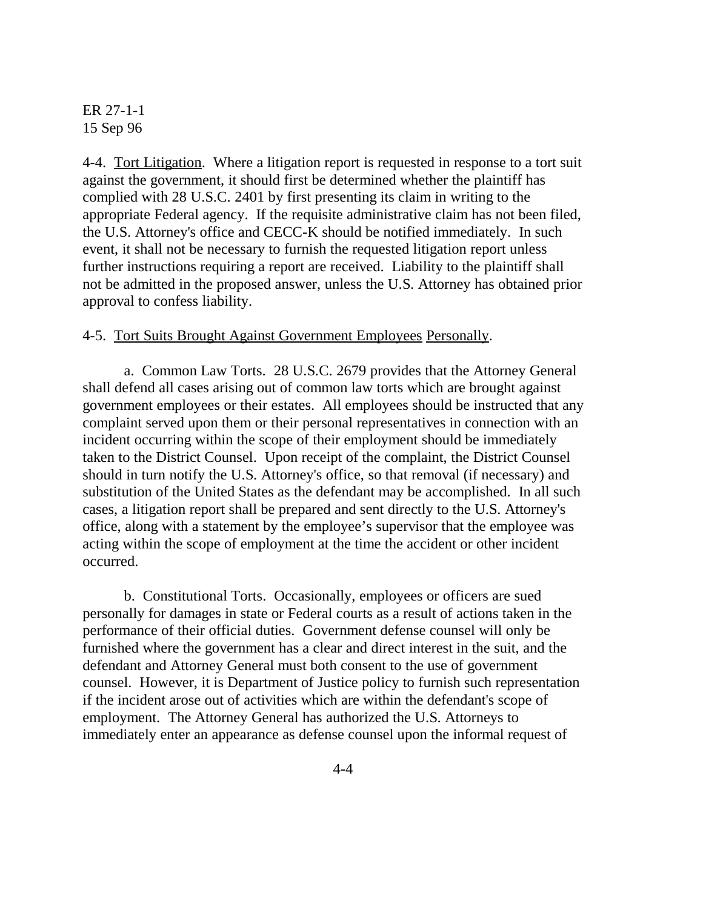4-4. <u>Tort Litigation</u>. Where a litigation report is requested in response to a tort suit against the government, it should first be determined whether the plaintiff has complied with 28 U.S.C. 2401 by first presenting its claim in writing to the appropriate Federal agency. If the requisite administrative claim has not been filed, the U.S. Attorney's office and CECC-K should be notified immediately. In such event, it shall not be necessary to furnish the requested litigation report unless further instructions requiring a report are received. Liability to the plaintiff shall not be admitted in the proposed answer, unless the U.S. Attorney has obtained prior approval to confess liability.

#### 4-5. Tort Suits Brought Against Government Employees Personally.

 a. Common Law Torts. 28 U.S.C. 2679 provides that the Attorney General shall defend all cases arising out of common law torts which are brought against government employees or their estates. All employees should be instructed that any complaint served upon them or their personal representatives in connection with an incident occurring within the scope of their employment should be immediately taken to the District Counsel. Upon receipt of the complaint, the District Counsel should in turn notify the U.S. Attorney's office, so that removal (if necessary) and substitution of the United States as the defendant may be accomplished. In all such cases, a litigation report shall be prepared and sent directly to the U.S. Attorney's office, along with a statement by the employee's supervisor that the employee was acting within the scope of employment at the time the accident or other incident occurred.

b. Constitutional Torts. Occasionally, employees or officers are sued personally for damages in state or Federal courts as a result of actions taken in the performance of their official duties. Government defense counsel will only be furnished where the government has a clear and direct interest in the suit, and the defendant and Attorney General must both consent to the use of government counsel. However, it is Department of Justice policy to furnish such representation if the incident arose out of activities which are within the defendant's scope of employment. The Attorney General has authorized the U.S. Attorneys to immediately enter an appearance as defense counsel upon the informal request of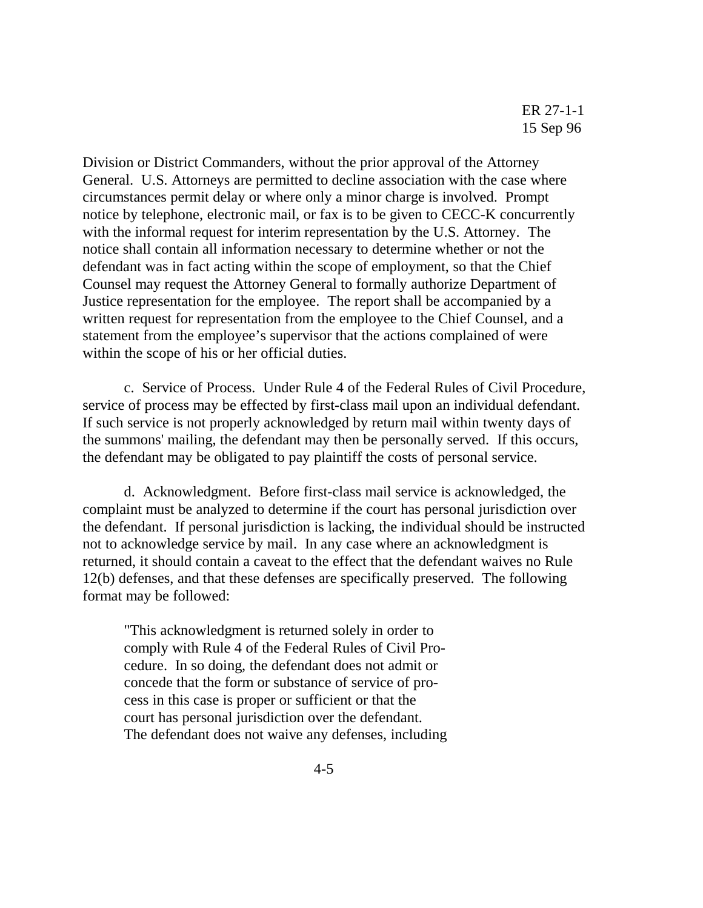Division or District Commanders, without the prior approval of the Attorney General. U.S. Attorneys are permitted to decline association with the case where circumstances permit delay or where only a minor charge is involved. Prompt notice by telephone, electronic mail, or fax is to be given to CECC-K concurrently with the informal request for interim representation by the U.S. Attorney. The notice shall contain all information necessary to determine whether or not the defendant was in fact acting within the scope of employment, so that the Chief Counsel may request the Attorney General to formally authorize Department of Justice representation for the employee. The report shall be accompanied by a written request for representation from the employee to the Chief Counsel, and a statement from the employee's supervisor that the actions complained of were within the scope of his or her official duties.

c. Service of Process. Under Rule 4 of the Federal Rules of Civil Procedure, service of process may be effected by first-class mail upon an individual defendant. If such service is not properly acknowledged by return mail within twenty days of the summons' mailing, the defendant may then be personally served. If this occurs, the defendant may be obligated to pay plaintiff the costs of personal service.

 d. Acknowledgment. Before first-class mail service is acknowledged, the complaint must be analyzed to determine if the court has personal jurisdiction over the defendant. If personal jurisdiction is lacking, the individual should be instructed not to acknowledge service by mail. In any case where an acknowledgment is returned, it should contain a caveat to the effect that the defendant waives no Rule 12(b) defenses, and that these defenses are specifically preserved. The following format may be followed:

"This acknowledgment is returned solely in order to comply with Rule 4 of the Federal Rules of Civil Procedure. In so doing, the defendant does not admit or concede that the form or substance of service of process in this case is proper or sufficient or that the court has personal jurisdiction over the defendant. The defendant does not waive any defenses, including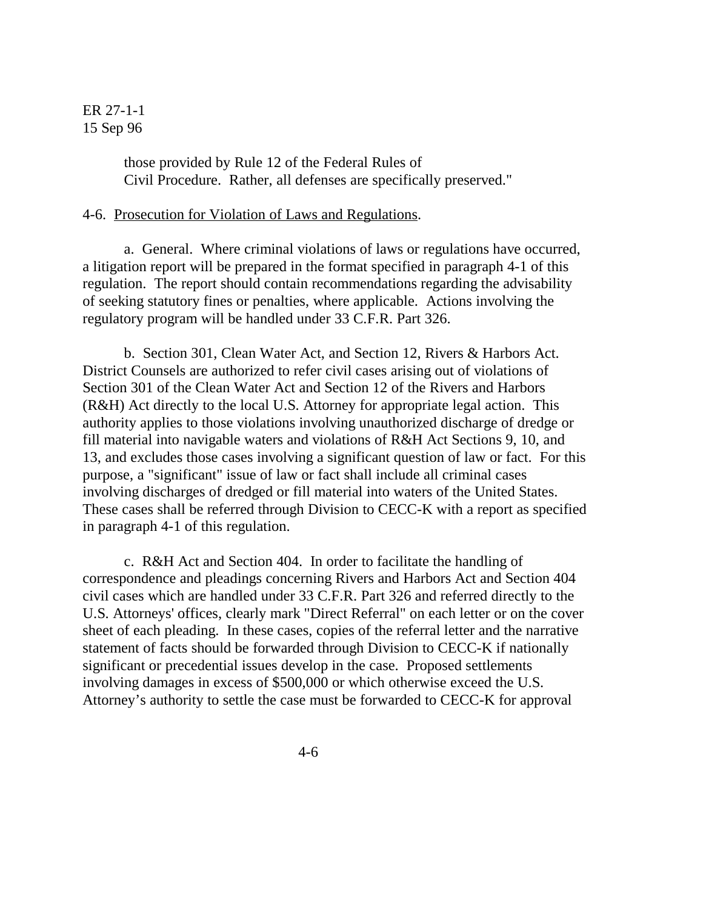those provided by Rule 12 of the Federal Rules of Civil Procedure. Rather, all defenses are specifically preserved."

#### 4-6. Prosecution for Violation of Laws and Regulations.

a. General. Where criminal violations of laws or regulations have occurred, a litigation report will be prepared in the format specified in paragraph 4-1 of this regulation. The report should contain recommendations regarding the advisability of seeking statutory fines or penalties, where applicable. Actions involving the regulatory program will be handled under 33 C.F.R. Part 326.

b. Section 301, Clean Water Act, and Section 12, Rivers & Harbors Act. District Counsels are authorized to refer civil cases arising out of violations of Section 301 of the Clean Water Act and Section 12 of the Rivers and Harbors (R&H) Act directly to the local U.S. Attorney for appropriate legal action. This authority applies to those violations involving unauthorized discharge of dredge or fill material into navigable waters and violations of R&H Act Sections 9, 10, and 13, and excludes those cases involving a significant question of law or fact. For this purpose, a "significant" issue of law or fact shall include all criminal cases involving discharges of dredged or fill material into waters of the United States. These cases shall be referred through Division to CECC-K with a report as specified in paragraph 4-1 of this regulation.

 c. R&H Act and Section 404. In order to facilitate the handling of correspondence and pleadings concerning Rivers and Harbors Act and Section 404 civil cases which are handled under 33 C.F.R. Part 326 and referred directly to the U.S. Attorneys' offices, clearly mark "Direct Referral" on each letter or on the cover sheet of each pleading. In these cases, copies of the referral letter and the narrative statement of facts should be forwarded through Division to CECC-K if nationally significant or precedential issues develop in the case. Proposed settlements involving damages in excess of \$500,000 or which otherwise exceed the U.S. Attorney's authority to settle the case must be forwarded to CECC-K for approval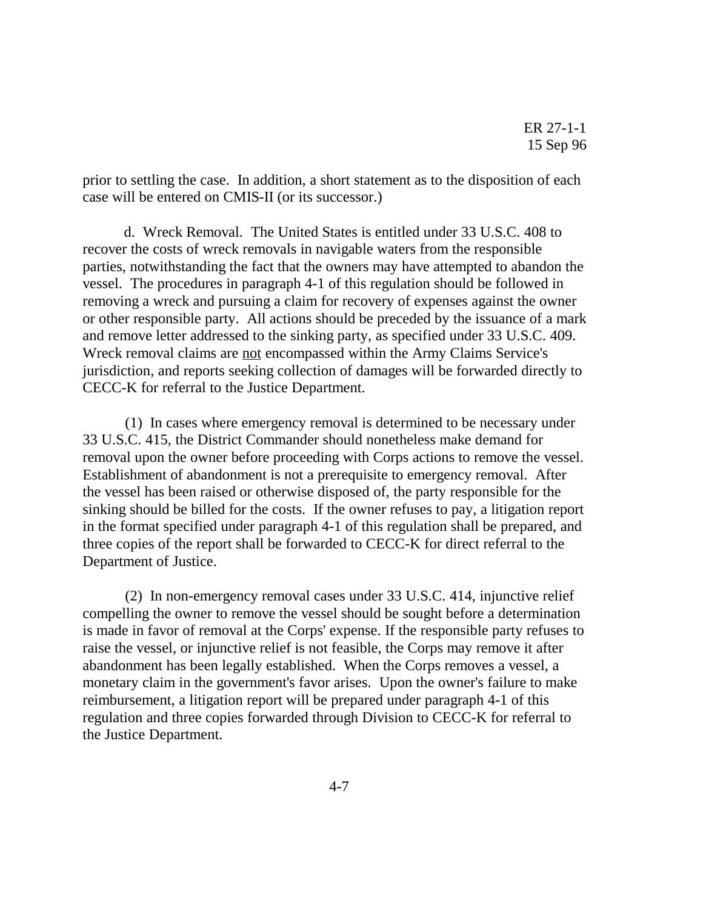prior to settling the case. In addition, a short statement as to the disposition of each case will be entered on CMIS-II (or its successor.)

d. Wreck Removal. The United States is entitled under 33 U.S.C. 408 to recover the costs of wreck removals in navigable waters from the responsible parties, notwithstanding the fact that the owners may have attempted to abandon the vessel. The procedures in paragraph 4-1 of this regulation should be followed in removing a wreck and pursuing a claim for recovery of expenses against the owner or other responsible party. All actions should be preceded by the issuance of a mark and remove letter addressed to the sinking party, as specified under 33 U.S.C. 409. Wreck removal claims are not encompassed within the Army Claims Service's jurisdiction, and reports seeking collection of damages will be forwarded directly to CECC-K for referral to the Justice Department.

 (1) In cases where emergency removal is determined to be necessary under 33 U.S.C. 415, the District Commander should nonetheless make demand for removal upon the owner before proceeding with Corps actions to remove the vessel. Establishment of abandonment is not a prerequisite to emergency removal. After the vessel has been raised or otherwise disposed of, the party responsible for the sinking should be billed for the costs. If the owner refuses to pay, a litigation report in the format specified under paragraph 4-1 of this regulation shall be prepared, and three copies of the report shall be forwarded to CECC-K for direct referral to the Department of Justice.

 (2) In non-emergency removal cases under 33 U.S.C. 414, injunctive relief compelling the owner to remove the vessel should be sought before a determination is made in favor of removal at the Corps' expense. If the responsible party refuses to raise the vessel, or injunctive relief is not feasible, the Corps may remove it after abandonment has been legally established. When the Corps removes a vessel, a monetary claim in the government's favor arises. Upon the owner's failure to make reimbursement, a litigation report will be prepared under paragraph 4-1 of this regulation and three copies forwarded through Division to CECC-K for referral to the Justice Department.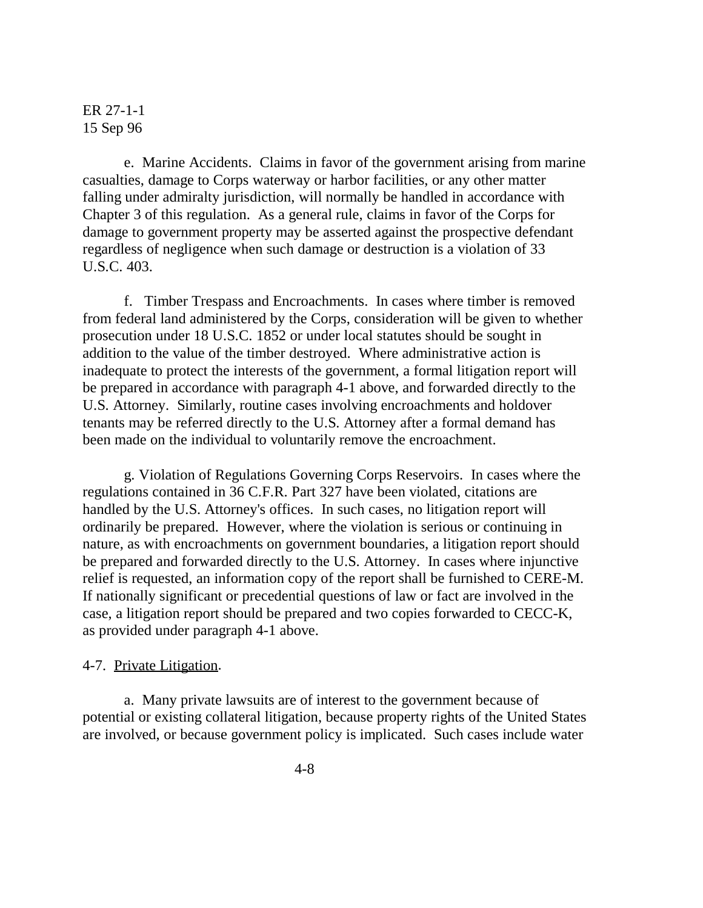e. Marine Accidents. Claims in favor of the government arising from marine casualties, damage to Corps waterway or harbor facilities, or any other matter falling under admiralty jurisdiction, will normally be handled in accordance with Chapter 3 of this regulation. As a general rule, claims in favor of the Corps for damage to government property may be asserted against the prospective defendant regardless of negligence when such damage or destruction is a violation of 33 U.S.C. 403.

 f. Timber Trespass and Encroachments. In cases where timber is removed from federal land administered by the Corps, consideration will be given to whether prosecution under 18 U.S.C. 1852 or under local statutes should be sought in addition to the value of the timber destroyed. Where administrative action is inadequate to protect the interests of the government, a formal litigation report will be prepared in accordance with paragraph 4-1 above, and forwarded directly to the U.S. Attorney. Similarly, routine cases involving encroachments and holdover tenants may be referred directly to the U.S. Attorney after a formal demand has been made on the individual to voluntarily remove the encroachment.

 g. Violation of Regulations Governing Corps Reservoirs. In cases where the regulations contained in 36 C.F.R. Part 327 have been violated, citations are handled by the U.S. Attorney's offices. In such cases, no litigation report will ordinarily be prepared. However, where the violation is serious or continuing in nature, as with encroachments on government boundaries, a litigation report should be prepared and forwarded directly to the U.S. Attorney. In cases where injunctive relief is requested, an information copy of the report shall be furnished to CERE-M. If nationally significant or precedential questions of law or fact are involved in the case, a litigation report should be prepared and two copies forwarded to CECC-K, as provided under paragraph 4-1 above.

#### 4-7. Private Litigation.

a. Many private lawsuits are of interest to the government because of potential or existing collateral litigation, because property rights of the United States are involved, or because government policy is implicated. Such cases include water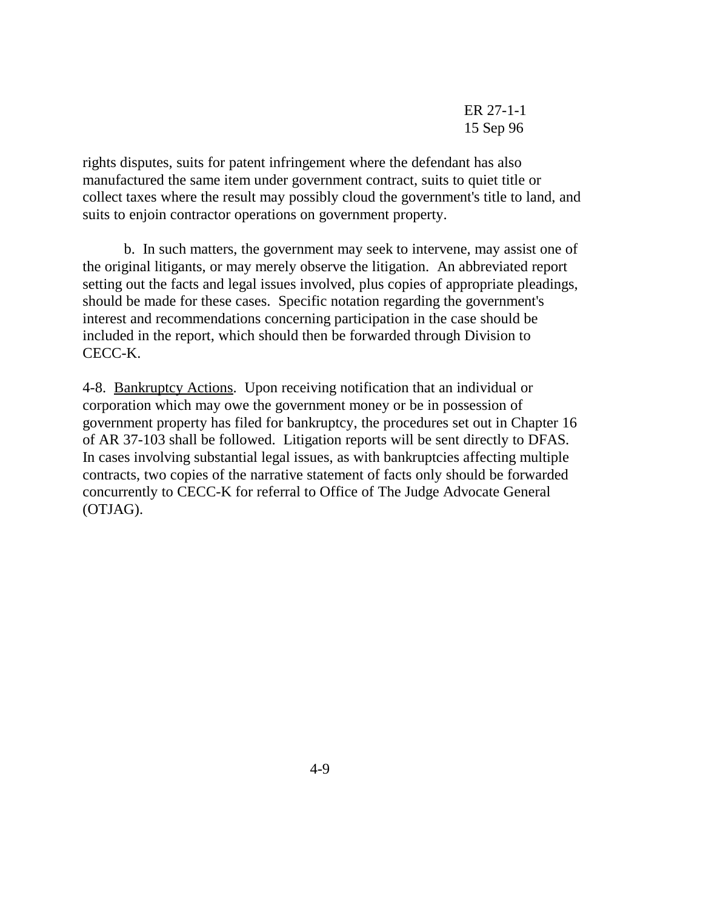rights disputes, suits for patent infringement where the defendant has also manufactured the same item under government contract, suits to quiet title or collect taxes where the result may possibly cloud the government's title to land, and suits to enjoin contractor operations on government property.

b. In such matters, the government may seek to intervene, may assist one of the original litigants, or may merely observe the litigation. An abbreviated report setting out the facts and legal issues involved, plus copies of appropriate pleadings, should be made for these cases. Specific notation regarding the government's interest and recommendations concerning participation in the case should be included in the report, which should then be forwarded through Division to CECC-K.

4-8. Bankruptcy Actions. Upon receiving notification that an individual or corporation which may owe the government money or be in possession of government property has filed for bankruptcy, the procedures set out in Chapter 16 of AR 37-103 shall be followed. Litigation reports will be sent directly to DFAS. In cases involving substantial legal issues, as with bankruptcies affecting multiple contracts, two copies of the narrative statement of facts only should be forwarded concurrently to CECC-K for referral to Office of The Judge Advocate General (OTJAG).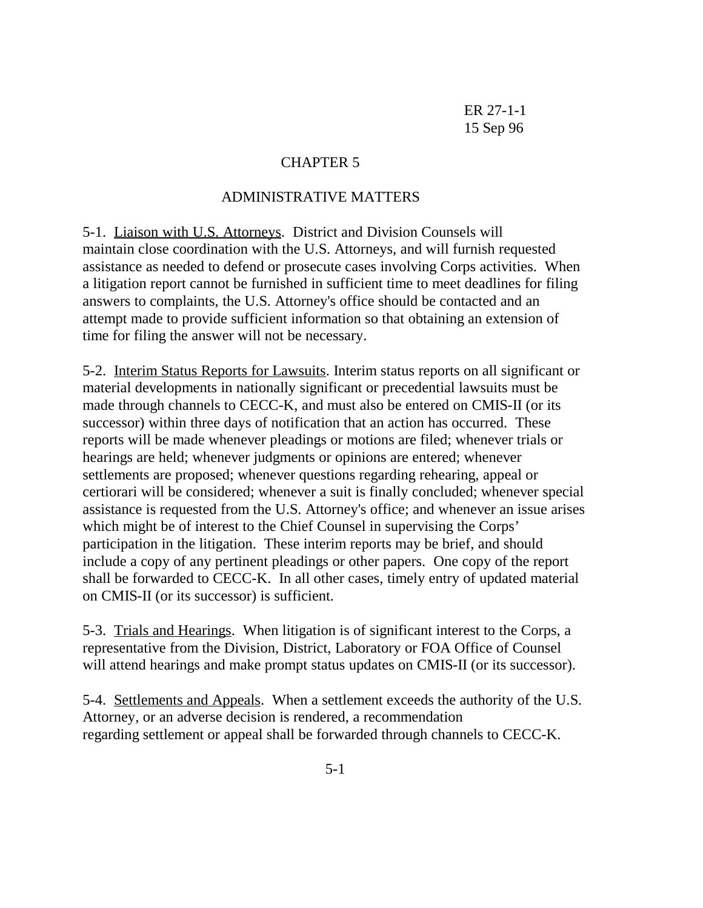# CHAPTER 5

## ADMINISTRATIVE MATTERS

5-1. Liaison with U.S. Attorneys. District and Division Counsels will maintain close coordination with the U.S. Attorneys, and will furnish requested assistance as needed to defend or prosecute cases involving Corps activities. When a litigation report cannot be furnished in sufficient time to meet deadlines for filing answers to complaints, the U.S. Attorney's office should be contacted and an attempt made to provide sufficient information so that obtaining an extension of time for filing the answer will not be necessary.

5-2. Interim Status Reports for Lawsuits. Interim status reports on all significant or material developments in nationally significant or precedential lawsuits must be made through channels to CECC-K, and must also be entered on CMIS-II (or its successor) within three days of notification that an action has occurred. These reports will be made whenever pleadings or motions are filed; whenever trials or hearings are held; whenever judgments or opinions are entered; whenever settlements are proposed; whenever questions regarding rehearing, appeal or certiorari will be considered; whenever a suit is finally concluded; whenever special assistance is requested from the U.S. Attorney's office; and whenever an issue arises which might be of interest to the Chief Counsel in supervising the Corps' participation in the litigation. These interim reports may be brief, and should include a copy of any pertinent pleadings or other papers. One copy of the report shall be forwarded to CECC-K. In all other cases, timely entry of updated material on CMIS-II (or its successor) is sufficient.

5-3. Trials and Hearings. When litigation is of significant interest to the Corps, a representative from the Division, District, Laboratory or FOA Office of Counsel will attend hearings and make prompt status updates on CMIS-II (or its successor).

5-4. Settlements and Appeals. When a settlement exceeds the authority of the U.S. Attorney, or an adverse decision is rendered, a recommendation regarding settlement or appeal shall be forwarded through channels to CECC-K.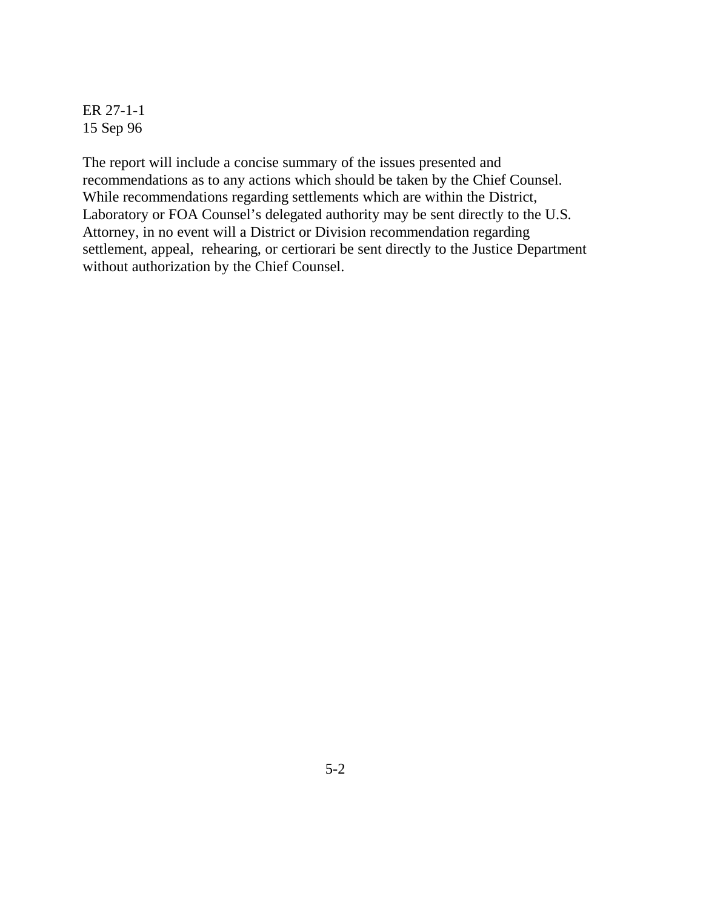The report will include a concise summary of the issues presented and recommendations as to any actions which should be taken by the Chief Counsel. While recommendations regarding settlements which are within the District, Laboratory or FOA Counsel's delegated authority may be sent directly to the U.S. Attorney, in no event will a District or Division recommendation regarding settlement, appeal, rehearing, or certiorari be sent directly to the Justice Department without authorization by the Chief Counsel.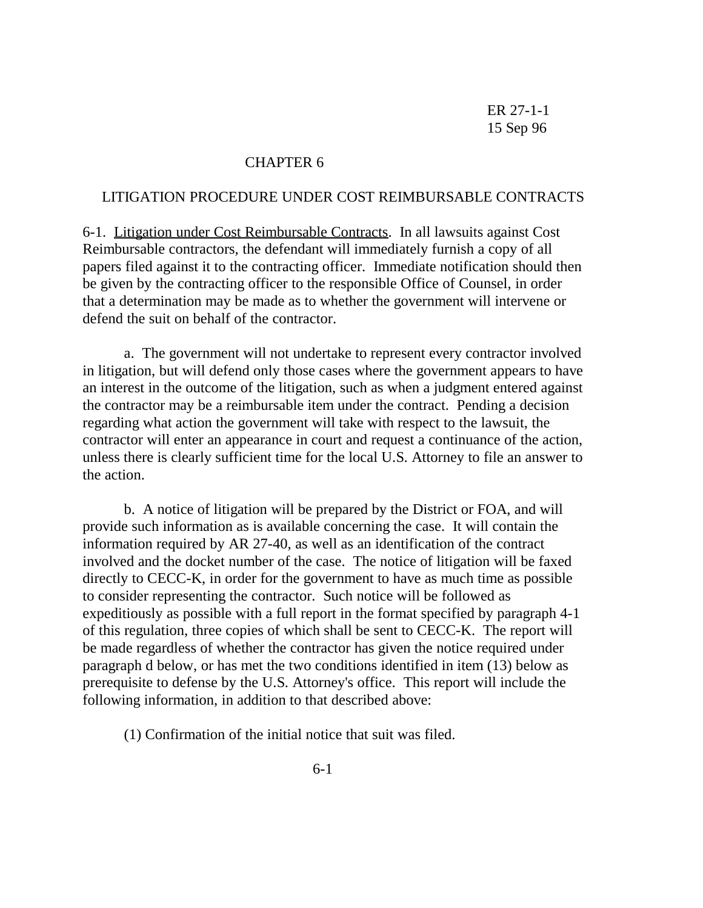#### CHAPTER 6

#### LITIGATION PROCEDURE UNDER COST REIMBURSABLE CONTRACTS

6-1. Litigation under Cost Reimbursable Contracts. In all lawsuits against Cost Reimbursable contractors, the defendant will immediately furnish a copy of all papers filed against it to the contracting officer. Immediate notification should then be given by the contracting officer to the responsible Office of Counsel, in order that a determination may be made as to whether the government will intervene or defend the suit on behalf of the contractor.

 a. The government will not undertake to represent every contractor involved in litigation, but will defend only those cases where the government appears to have an interest in the outcome of the litigation, such as when a judgment entered against the contractor may be a reimbursable item under the contract. Pending a decision regarding what action the government will take with respect to the lawsuit, the contractor will enter an appearance in court and request a continuance of the action, unless there is clearly sufficient time for the local U.S. Attorney to file an answer to the action.

 b. A notice of litigation will be prepared by the District or FOA, and will provide such information as is available concerning the case. It will contain the information required by AR 27-40, as well as an identification of the contract involved and the docket number of the case. The notice of litigation will be faxed directly to CECC-K, in order for the government to have as much time as possible to consider representing the contractor. Such notice will be followed as expeditiously as possible with a full report in the format specified by paragraph 4-1 of this regulation, three copies of which shall be sent to CECC-K. The report will be made regardless of whether the contractor has given the notice required under paragraph d below, or has met the two conditions identified in item (13) below as prerequisite to defense by the U.S. Attorney's office. This report will include the following information, in addition to that described above:

(1) Confirmation of the initial notice that suit was filed.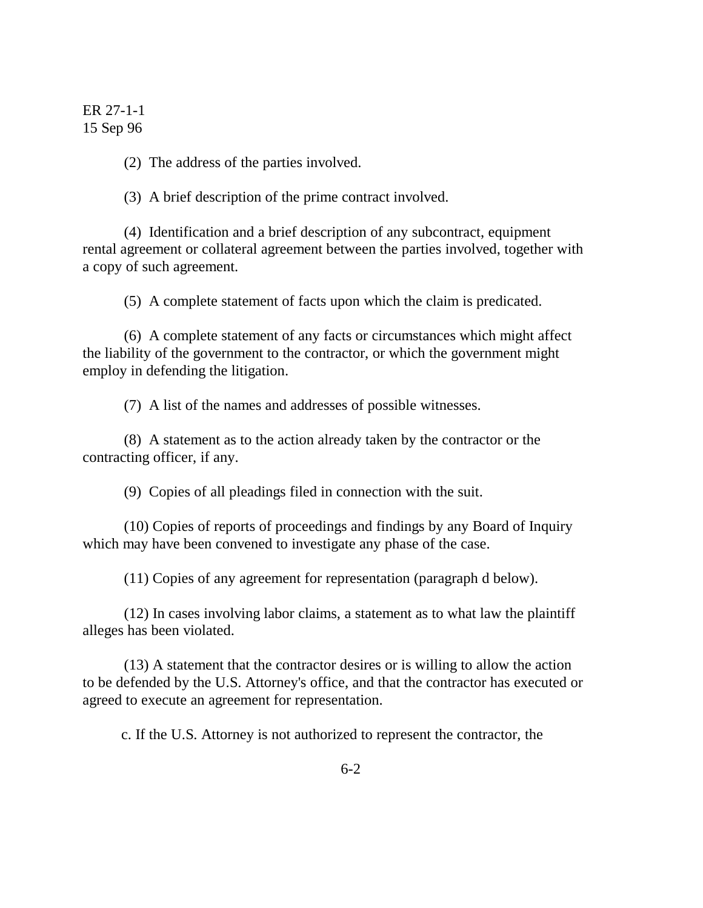(2) The address of the parties involved.

(3) A brief description of the prime contract involved.

 (4) Identification and a brief description of any subcontract, equipment rental agreement or collateral agreement between the parties involved, together with a copy of such agreement.

(5) A complete statement of facts upon which the claim is predicated.

 (6) A complete statement of any facts or circumstances which might affect the liability of the government to the contractor, or which the government might employ in defending the litigation.

(7) A list of the names and addresses of possible witnesses.

 (8) A statement as to the action already taken by the contractor or the contracting officer, if any.

(9) Copies of all pleadings filed in connection with the suit.

 (10) Copies of reports of proceedings and findings by any Board of Inquiry which may have been convened to investigate any phase of the case.

(11) Copies of any agreement for representation (paragraph d below).

(12) In cases involving labor claims, a statement as to what law the plaintiff alleges has been violated.

(13) A statement that the contractor desires or is willing to allow the action to be defended by the U.S. Attorney's office, and that the contractor has executed or agreed to execute an agreement for representation.

c. If the U.S. Attorney is not authorized to represent the contractor, the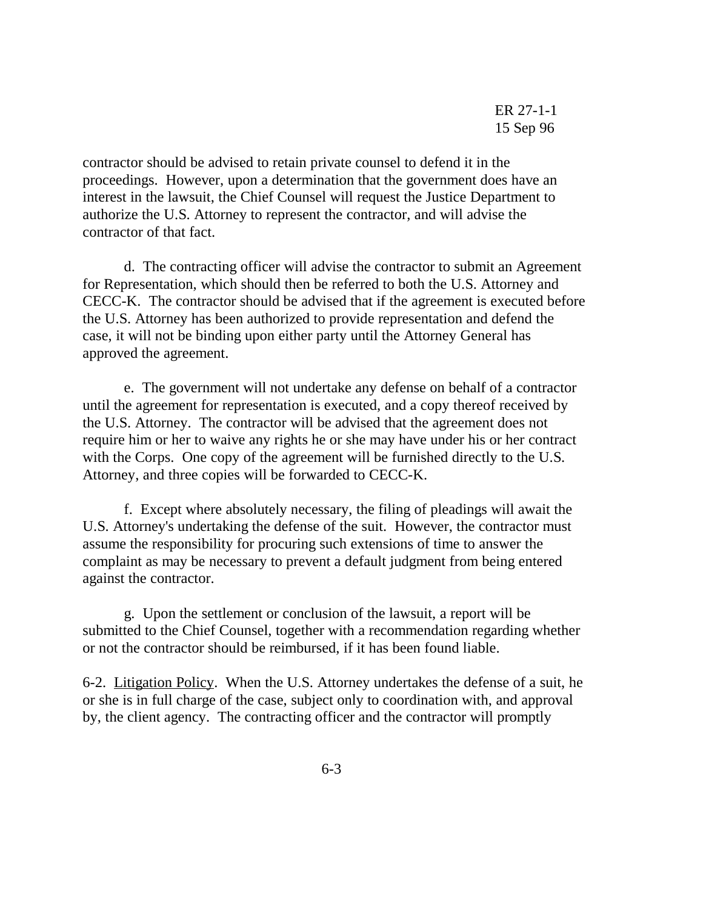contractor should be advised to retain private counsel to defend it in the proceedings. However, upon a determination that the government does have an interest in the lawsuit, the Chief Counsel will request the Justice Department to authorize the U.S. Attorney to represent the contractor, and will advise the contractor of that fact.

d. The contracting officer will advise the contractor to submit an Agreement for Representation, which should then be referred to both the U.S. Attorney and CECC-K. The contractor should be advised that if the agreement is executed before the U.S. Attorney has been authorized to provide representation and defend the case, it will not be binding upon either party until the Attorney General has approved the agreement.

 e. The government will not undertake any defense on behalf of a contractor until the agreement for representation is executed, and a copy thereof received by the U.S. Attorney. The contractor will be advised that the agreement does not require him or her to waive any rights he or she may have under his or her contract with the Corps. One copy of the agreement will be furnished directly to the U.S. Attorney, and three copies will be forwarded to CECC-K.

f. Except where absolutely necessary, the filing of pleadings will await the U.S. Attorney's undertaking the defense of the suit. However, the contractor must assume the responsibility for procuring such extensions of time to answer the complaint as may be necessary to prevent a default judgment from being entered against the contractor.

g. Upon the settlement or conclusion of the lawsuit, a report will be submitted to the Chief Counsel, together with a recommendation regarding whether or not the contractor should be reimbursed, if it has been found liable.

6-2. Litigation Policy. When the U.S. Attorney undertakes the defense of a suit, he or she is in full charge of the case, subject only to coordination with, and approval by, the client agency. The contracting officer and the contractor will promptly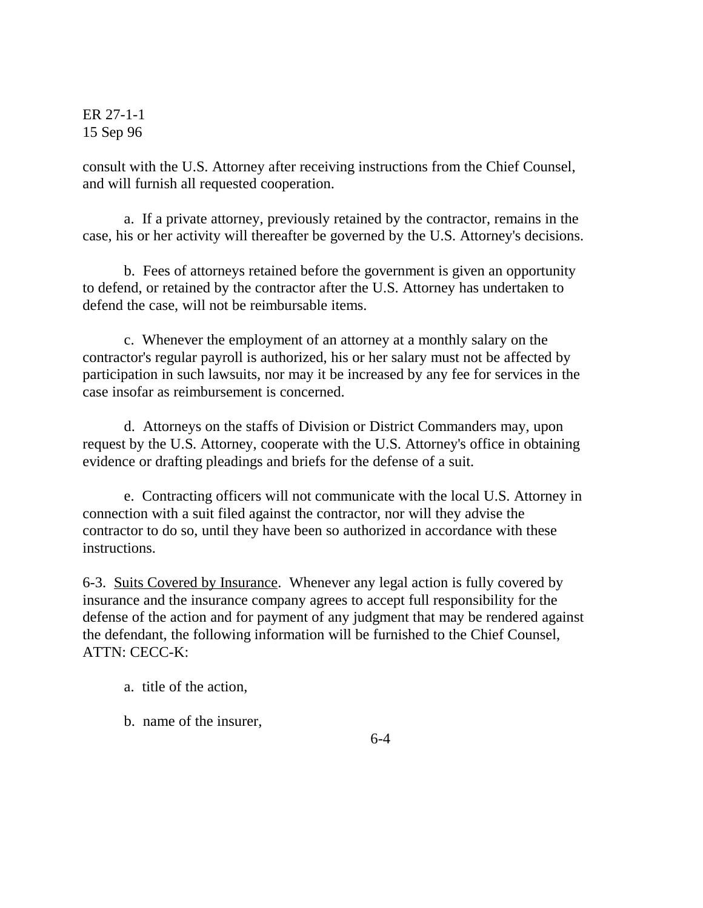consult with the U.S. Attorney after receiving instructions from the Chief Counsel, and will furnish all requested cooperation.

a. If a private attorney, previously retained by the contractor, remains in the case, his or her activity will thereafter be governed by the U.S. Attorney's decisions.

b. Fees of attorneys retained before the government is given an opportunity to defend, or retained by the contractor after the U.S. Attorney has undertaken to defend the case, will not be reimbursable items.

c. Whenever the employment of an attorney at a monthly salary on the contractor's regular payroll is authorized, his or her salary must not be affected by participation in such lawsuits, nor may it be increased by any fee for services in the case insofar as reimbursement is concerned.

d. Attorneys on the staffs of Division or District Commanders may, upon request by the U.S. Attorney, cooperate with the U.S. Attorney's office in obtaining evidence or drafting pleadings and briefs for the defense of a suit.

e. Contracting officers will not communicate with the local U.S. Attorney in connection with a suit filed against the contractor, nor will they advise the contractor to do so, until they have been so authorized in accordance with these instructions.

6-3. Suits Covered by Insurance. Whenever any legal action is fully covered by insurance and the insurance company agrees to accept full responsibility for the defense of the action and for payment of any judgment that may be rendered against the defendant, the following information will be furnished to the Chief Counsel, ATTN: CECC-K:

- a. title of the action,
- b. name of the insurer,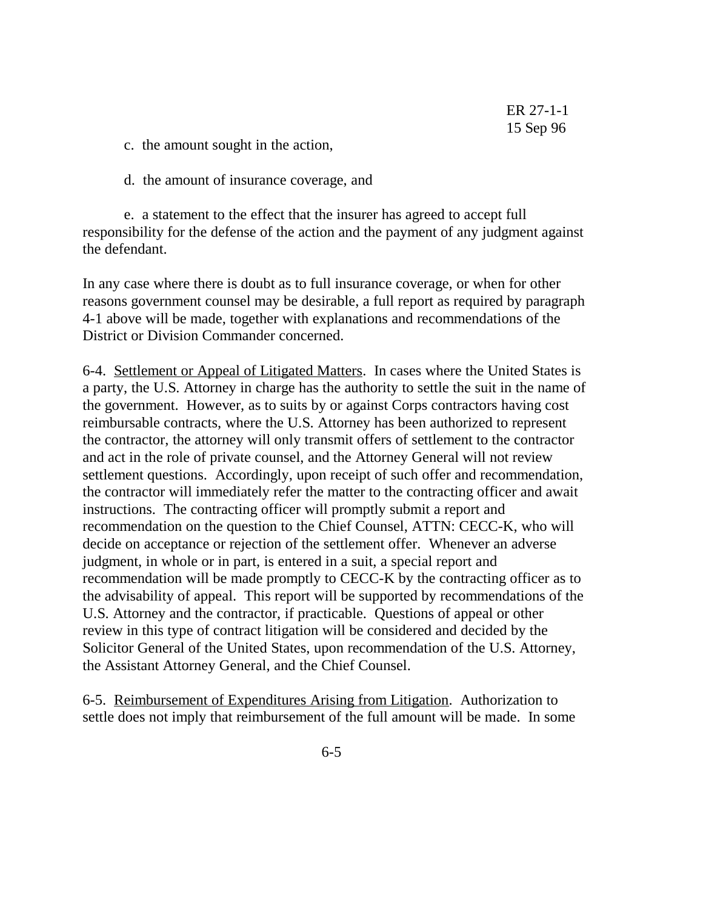- c. the amount sought in the action,
- d. the amount of insurance coverage, and

e. a statement to the effect that the insurer has agreed to accept full responsibility for the defense of the action and the payment of any judgment against the defendant.

In any case where there is doubt as to full insurance coverage, or when for other reasons government counsel may be desirable, a full report as required by paragraph 4-1 above will be made, together with explanations and recommendations of the District or Division Commander concerned.

6-4. Settlement or Appeal of Litigated Matters. In cases where the United States is a party, the U.S. Attorney in charge has the authority to settle the suit in the name of the government. However, as to suits by or against Corps contractors having cost reimbursable contracts, where the U.S. Attorney has been authorized to represent the contractor, the attorney will only transmit offers of settlement to the contractor and act in the role of private counsel, and the Attorney General will not review settlement questions. Accordingly, upon receipt of such offer and recommendation, the contractor will immediately refer the matter to the contracting officer and await instructions. The contracting officer will promptly submit a report and recommendation on the question to the Chief Counsel, ATTN: CECC-K, who will decide on acceptance or rejection of the settlement offer. Whenever an adverse judgment, in whole or in part, is entered in a suit, a special report and recommendation will be made promptly to CECC-K by the contracting officer as to the advisability of appeal. This report will be supported by recommendations of the U.S. Attorney and the contractor, if practicable. Questions of appeal or other review in this type of contract litigation will be considered and decided by the Solicitor General of the United States, upon recommendation of the U.S. Attorney, the Assistant Attorney General, and the Chief Counsel.

6-5. Reimbursement of Expenditures Arising from Litigation. Authorization to settle does not imply that reimbursement of the full amount will be made. In some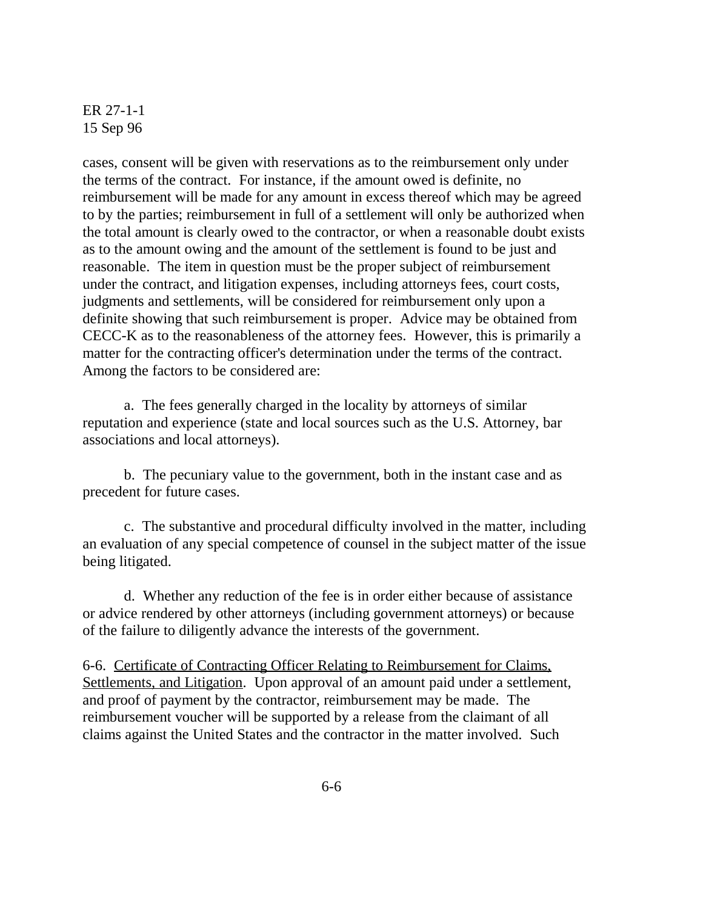cases, consent will be given with reservations as to the reimbursement only under the terms of the contract. For instance, if the amount owed is definite, no reimbursement will be made for any amount in excess thereof which may be agreed to by the parties; reimbursement in full of a settlement will only be authorized when the total amount is clearly owed to the contractor, or when a reasonable doubt exists as to the amount owing and the amount of the settlement is found to be just and reasonable. The item in question must be the proper subject of reimbursement under the contract, and litigation expenses, including attorneys fees, court costs, judgments and settlements, will be considered for reimbursement only upon a definite showing that such reimbursement is proper. Advice may be obtained from CECC-K as to the reasonableness of the attorney fees. However, this is primarily a matter for the contracting officer's determination under the terms of the contract. Among the factors to be considered are:

a. The fees generally charged in the locality by attorneys of similar reputation and experience (state and local sources such as the U.S. Attorney, bar associations and local attorneys).

b. The pecuniary value to the government, both in the instant case and as precedent for future cases.

c. The substantive and procedural difficulty involved in the matter, including an evaluation of any special competence of counsel in the subject matter of the issue being litigated.

d. Whether any reduction of the fee is in order either because of assistance or advice rendered by other attorneys (including government attorneys) or because of the failure to diligently advance the interests of the government.

6-6. Certificate of Contracting Officer Relating to Reimbursement for Claims, Settlements, and Litigation. Upon approval of an amount paid under a settlement, and proof of payment by the contractor, reimbursement may be made. The reimbursement voucher will be supported by a release from the claimant of all claims against the United States and the contractor in the matter involved. Such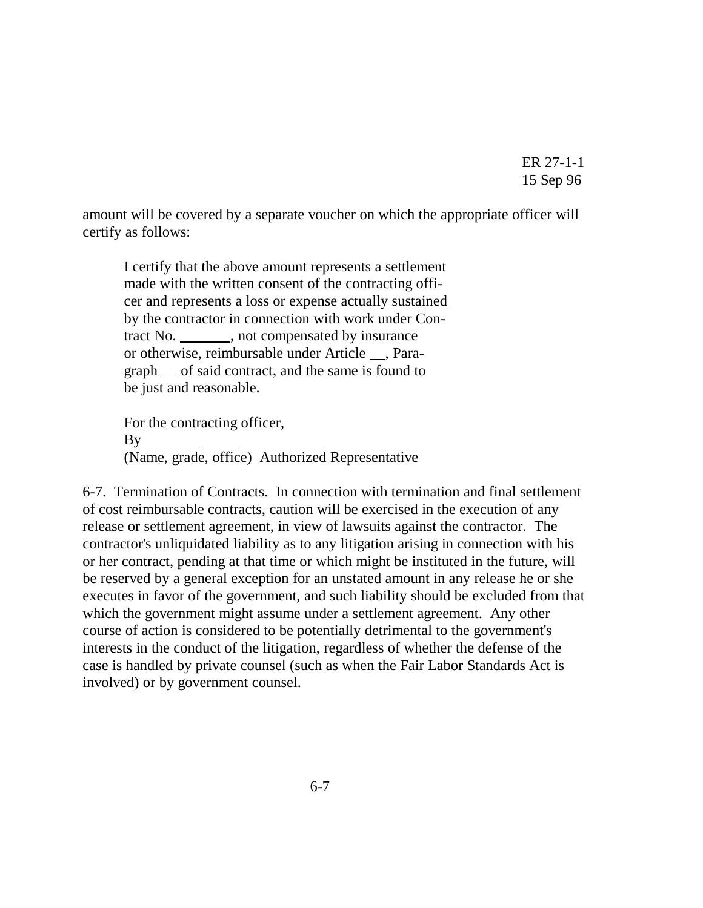amount will be covered by a separate voucher on which the appropriate officer will certify as follows:

I certify that the above amount represents a settlement made with the written consent of the contracting officer and represents a loss or expense actually sustained by the contractor in connection with work under Contract No. \_\_\_\_\_\_\_\_, not compensated by insurance or otherwise, reimbursable under Article \_\_, Paragraph  $\equiv$  of said contract, and the same is found to be just and reasonable.

For the contracting officer,  $By$ <sub>—</sub> (Name, grade, office) Authorized Representative

6-7. Termination of Contracts. In connection with termination and final settlement of cost reimbursable contracts, caution will be exercised in the execution of any release or settlement agreement, in view of lawsuits against the contractor. The contractor's unliquidated liability as to any litigation arising in connection with his or her contract, pending at that time or which might be instituted in the future, will be reserved by a general exception for an unstated amount in any release he or she executes in favor of the government, and such liability should be excluded from that which the government might assume under a settlement agreement. Any other course of action is considered to be potentially detrimental to the government's interests in the conduct of the litigation, regardless of whether the defense of the case is handled by private counsel (such as when the Fair Labor Standards Act is involved) or by government counsel.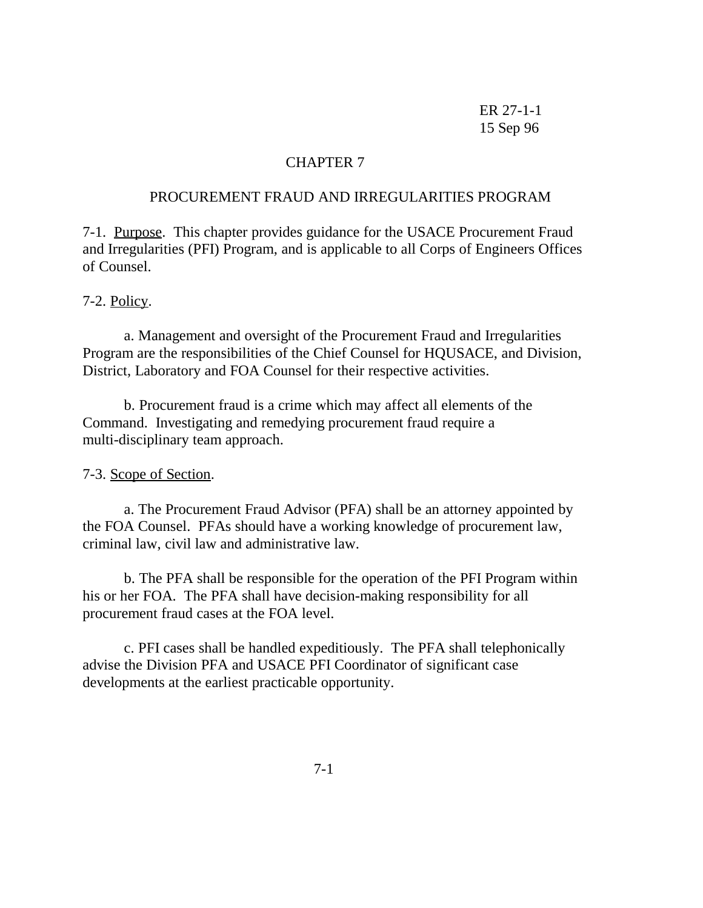# CHAPTER 7

#### PROCUREMENT FRAUD AND IRREGULARITIES PROGRAM

7-1. Purpose. This chapter provides guidance for the USACE Procurement Fraud and Irregularities (PFI) Program, and is applicable to all Corps of Engineers Offices of Counsel.

#### 7-2. Policy.

a. Management and oversight of the Procurement Fraud and Irregularities Program are the responsibilities of the Chief Counsel for HQUSACE, and Division, District, Laboratory and FOA Counsel for their respective activities.

b. Procurement fraud is a crime which may affect all elements of the Command. Investigating and remedying procurement fraud require a multi-disciplinary team approach.

## 7-3. Scope of Section.

a. The Procurement Fraud Advisor (PFA) shall be an attorney appointed by the FOA Counsel. PFAs should have a working knowledge of procurement law, criminal law, civil law and administrative law.

b. The PFA shall be responsible for the operation of the PFI Program within his or her FOA. The PFA shall have decision-making responsibility for all procurement fraud cases at the FOA level.

c. PFI cases shall be handled expeditiously. The PFA shall telephonically advise the Division PFA and USACE PFI Coordinator of significant case developments at the earliest practicable opportunity.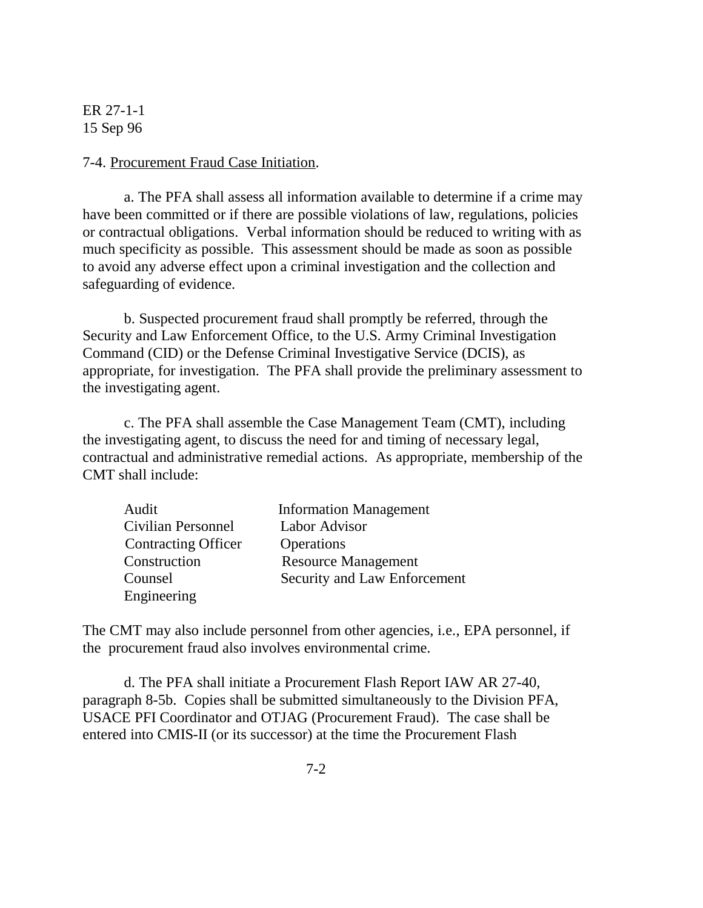#### 7-4. Procurement Fraud Case Initiation.

a. The PFA shall assess all information available to determine if a crime may have been committed or if there are possible violations of law, regulations, policies or contractual obligations. Verbal information should be reduced to writing with as much specificity as possible. This assessment should be made as soon as possible to avoid any adverse effect upon a criminal investigation and the collection and safeguarding of evidence.

b. Suspected procurement fraud shall promptly be referred, through the Security and Law Enforcement Office, to the U.S. Army Criminal Investigation Command (CID) or the Defense Criminal Investigative Service (DCIS), as appropriate, for investigation. The PFA shall provide the preliminary assessment to the investigating agent.

c. The PFA shall assemble the Case Management Team (CMT), including the investigating agent, to discuss the need for and timing of necessary legal, contractual and administrative remedial actions. As appropriate, membership of the CMT shall include:

| Audit                      | <b>Information Management</b> |
|----------------------------|-------------------------------|
| Civilian Personnel         | Labor Advisor                 |
| <b>Contracting Officer</b> | Operations                    |
| Construction               | <b>Resource Management</b>    |
| Counsel                    | Security and Law Enforcement  |
| Engineering                |                               |

The CMT may also include personnel from other agencies, i.e., EPA personnel, if the procurement fraud also involves environmental crime.

d. The PFA shall initiate a Procurement Flash Report IAW AR 27-40, paragraph 8-5b. Copies shall be submitted simultaneously to the Division PFA, USACE PFI Coordinator and OTJAG (Procurement Fraud). The case shall be entered into CMIS-II (or its successor) at the time the Procurement Flash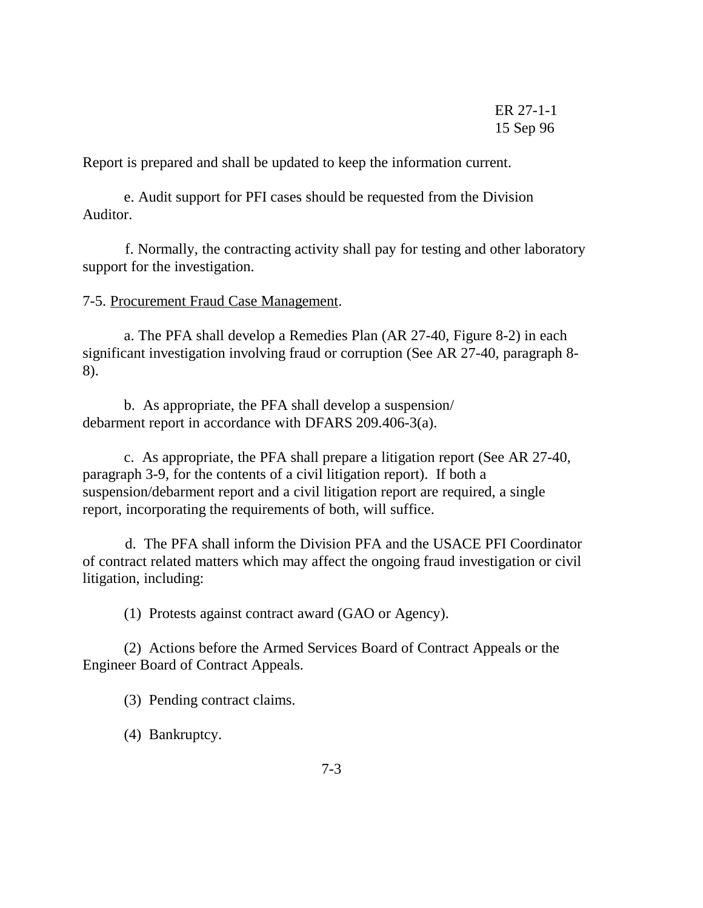Report is prepared and shall be updated to keep the information current.

e. Audit support for PFI cases should be requested from the Division Auditor.

 f. Normally, the contracting activity shall pay for testing and other laboratory support for the investigation.

7-5. Procurement Fraud Case Management.

a. The PFA shall develop a Remedies Plan (AR 27-40, Figure 8-2) in each significant investigation involving fraud or corruption (See AR 27-40, paragraph 8- 8).

b. As appropriate, the PFA shall develop a suspension/ debarment report in accordance with DFARS 209.406-3(a).

c. As appropriate, the PFA shall prepare a litigation report (See AR 27-40, paragraph 3-9, for the contents of a civil litigation report). If both a suspension/debarment report and a civil litigation report are required, a single report, incorporating the requirements of both, will suffice.

 d. The PFA shall inform the Division PFA and the USACE PFI Coordinator of contract related matters which may affect the ongoing fraud investigation or civil litigation, including:

(1) Protests against contract award (GAO or Agency).

(2) Actions before the Armed Services Board of Contract Appeals or the Engineer Board of Contract Appeals.

(3) Pending contract claims.

(4) Bankruptcy.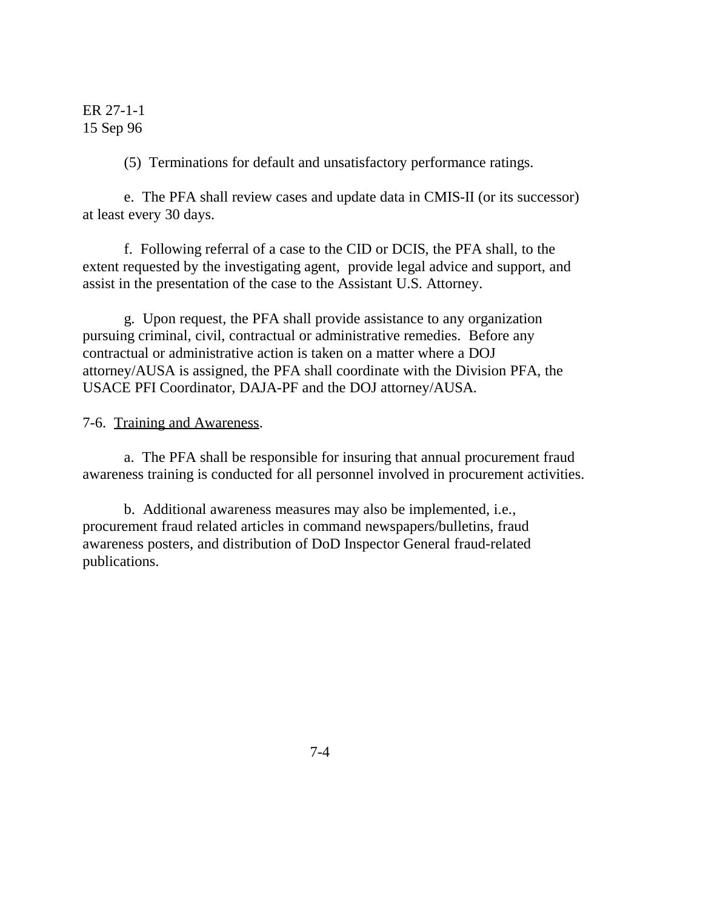(5) Terminations for default and unsatisfactory performance ratings.

e. The PFA shall review cases and update data in CMIS-II (or its successor) at least every 30 days.

f. Following referral of a case to the CID or DCIS, the PFA shall, to the extent requested by the investigating agent, provide legal advice and support, and assist in the presentation of the case to the Assistant U.S. Attorney.

g. Upon request, the PFA shall provide assistance to any organization pursuing criminal, civil, contractual or administrative remedies. Before any contractual or administrative action is taken on a matter where a DOJ attorney/AUSA is assigned, the PFA shall coordinate with the Division PFA, the USACE PFI Coordinator, DAJA-PF and the DOJ attorney/AUSA.

## 7-6. Training and Awareness.

a. The PFA shall be responsible for insuring that annual procurement fraud awareness training is conducted for all personnel involved in procurement activities.

b. Additional awareness measures may also be implemented, i.e., procurement fraud related articles in command newspapers/bulletins, fraud awareness posters, and distribution of DoD Inspector General fraud-related publications.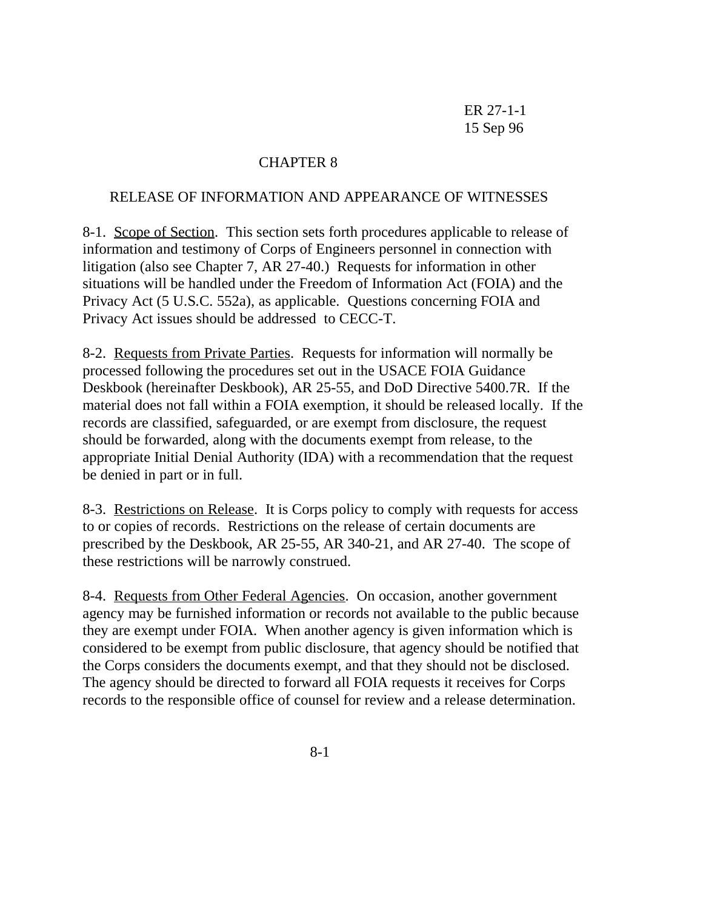# CHAPTER 8

## RELEASE OF INFORMATION AND APPEARANCE OF WITNESSES

8-1. Scope of Section. This section sets forth procedures applicable to release of information and testimony of Corps of Engineers personnel in connection with litigation (also see Chapter 7, AR 27-40.) Requests for information in other situations will be handled under the Freedom of Information Act (FOIA) and the Privacy Act (5 U.S.C. 552a), as applicable. Questions concerning FOIA and Privacy Act issues should be addressed to CECC-T.

8-2. Requests from Private Parties. Requests for information will normally be processed following the procedures set out in the USACE FOIA Guidance Deskbook (hereinafter Deskbook), AR 25-55, and DoD Directive 5400.7R. If the material does not fall within a FOIA exemption, it should be released locally. If the records are classified, safeguarded, or are exempt from disclosure, the request should be forwarded, along with the documents exempt from release, to the appropriate Initial Denial Authority (IDA) with a recommendation that the request be denied in part or in full.

8-3. Restrictions on Release. It is Corps policy to comply with requests for access to or copies of records. Restrictions on the release of certain documents are prescribed by the Deskbook, AR 25-55, AR 340-21, and AR 27-40. The scope of these restrictions will be narrowly construed.

8-4. Requests from Other Federal Agencies. On occasion, another government agency may be furnished information or records not available to the public because they are exempt under FOIA. When another agency is given information which is considered to be exempt from public disclosure, that agency should be notified that the Corps considers the documents exempt, and that they should not be disclosed. The agency should be directed to forward all FOIA requests it receives for Corps records to the responsible office of counsel for review and a release determination.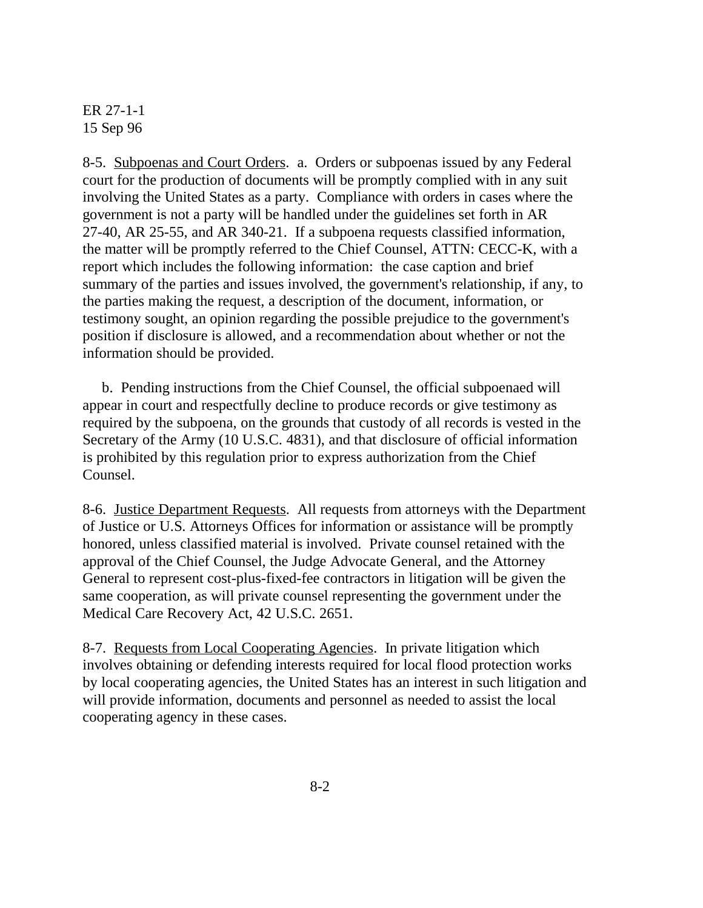8-5. Subpoenas and Court Orders. a. Orders or subpoenas issued by any Federal court for the production of documents will be promptly complied with in any suit involving the United States as a party. Compliance with orders in cases where the government is not a party will be handled under the guidelines set forth in AR 27-40, AR 25-55, and AR 340-21. If a subpoena requests classified information, the matter will be promptly referred to the Chief Counsel, ATTN: CECC-K, with a report which includes the following information: the case caption and brief summary of the parties and issues involved, the government's relationship, if any, to the parties making the request, a description of the document, information, or testimony sought, an opinion regarding the possible prejudice to the government's position if disclosure is allowed, and a recommendation about whether or not the information should be provided.

 b. Pending instructions from the Chief Counsel, the official subpoenaed will appear in court and respectfully decline to produce records or give testimony as required by the subpoena, on the grounds that custody of all records is vested in the Secretary of the Army (10 U.S.C. 4831), and that disclosure of official information is prohibited by this regulation prior to express authorization from the Chief Counsel.

8-6. Justice Department Requests. All requests from attorneys with the Department of Justice or U.S. Attorneys Offices for information or assistance will be promptly honored, unless classified material is involved. Private counsel retained with the approval of the Chief Counsel, the Judge Advocate General, and the Attorney General to represent cost-plus-fixed-fee contractors in litigation will be given the same cooperation, as will private counsel representing the government under the Medical Care Recovery Act, 42 U.S.C. 2651.

8-7. Requests from Local Cooperating Agencies. In private litigation which involves obtaining or defending interests required for local flood protection works by local cooperating agencies, the United States has an interest in such litigation and will provide information, documents and personnel as needed to assist the local cooperating agency in these cases.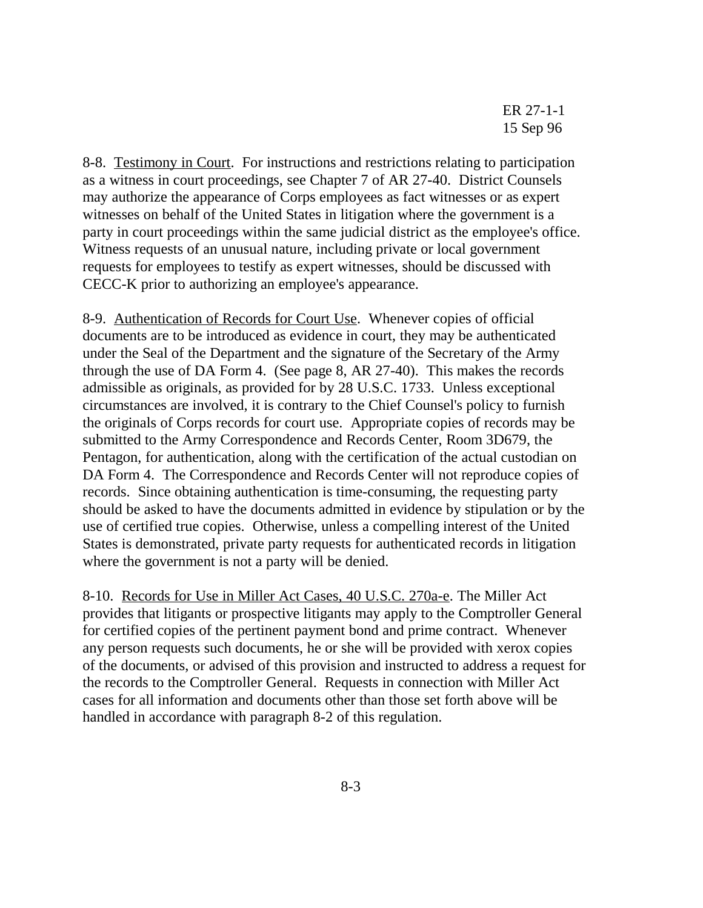8-8. Testimony in Court. For instructions and restrictions relating to participation as a witness in court proceedings, see Chapter 7 of AR 27-40. District Counsels may authorize the appearance of Corps employees as fact witnesses or as expert witnesses on behalf of the United States in litigation where the government is a party in court proceedings within the same judicial district as the employee's office. Witness requests of an unusual nature, including private or local government requests for employees to testify as expert witnesses, should be discussed with CECC-K prior to authorizing an employee's appearance.

8-9. Authentication of Records for Court Use. Whenever copies of official documents are to be introduced as evidence in court, they may be authenticated under the Seal of the Department and the signature of the Secretary of the Army through the use of DA Form 4. (See page 8, AR 27-40). This makes the records admissible as originals, as provided for by 28 U.S.C. 1733. Unless exceptional circumstances are involved, it is contrary to the Chief Counsel's policy to furnish the originals of Corps records for court use. Appropriate copies of records may be submitted to the Army Correspondence and Records Center, Room 3D679, the Pentagon, for authentication, along with the certification of the actual custodian on DA Form 4. The Correspondence and Records Center will not reproduce copies of records. Since obtaining authentication is time-consuming, the requesting party should be asked to have the documents admitted in evidence by stipulation or by the use of certified true copies. Otherwise, unless a compelling interest of the United States is demonstrated, private party requests for authenticated records in litigation where the government is not a party will be denied.

8-10. Records for Use in Miller Act Cases, 40 U.S.C. 270a-e. The Miller Act provides that litigants or prospective litigants may apply to the Comptroller General for certified copies of the pertinent payment bond and prime contract. Whenever any person requests such documents, he or she will be provided with xerox copies of the documents, or advised of this provision and instructed to address a request for the records to the Comptroller General. Requests in connection with Miller Act cases for all information and documents other than those set forth above will be handled in accordance with paragraph 8-2 of this regulation.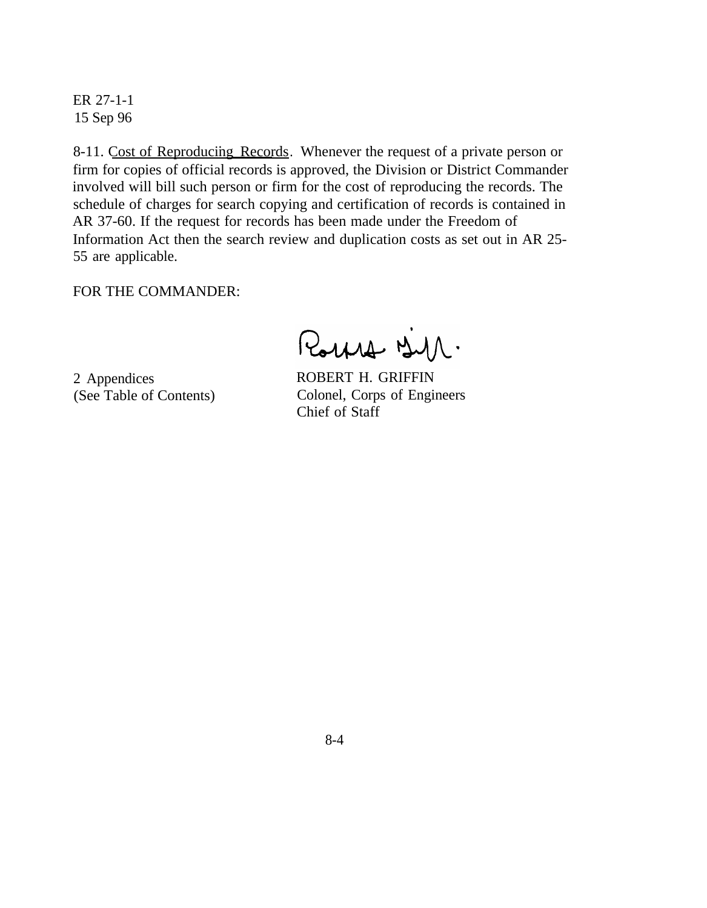8-11. Cost of Reproducing Records. Whenever the request of a private person or firm for copies of official records is approved, the Division or District Commander involved will bill such person or firm for the cost of reproducing the records. The schedule of charges for search copying and certification of records is contained in AR 37-60. If the request for records has been made under the Freedom of Information Act then the search review and duplication costs as set out in AR 25- 55 are applicable.

FOR THE COMMANDER:

Rouse BM.

2 Appendices (See Table of Contents)

ROBERT H. GRIFFIN Colonel, Corps of Engineers Chief of Staff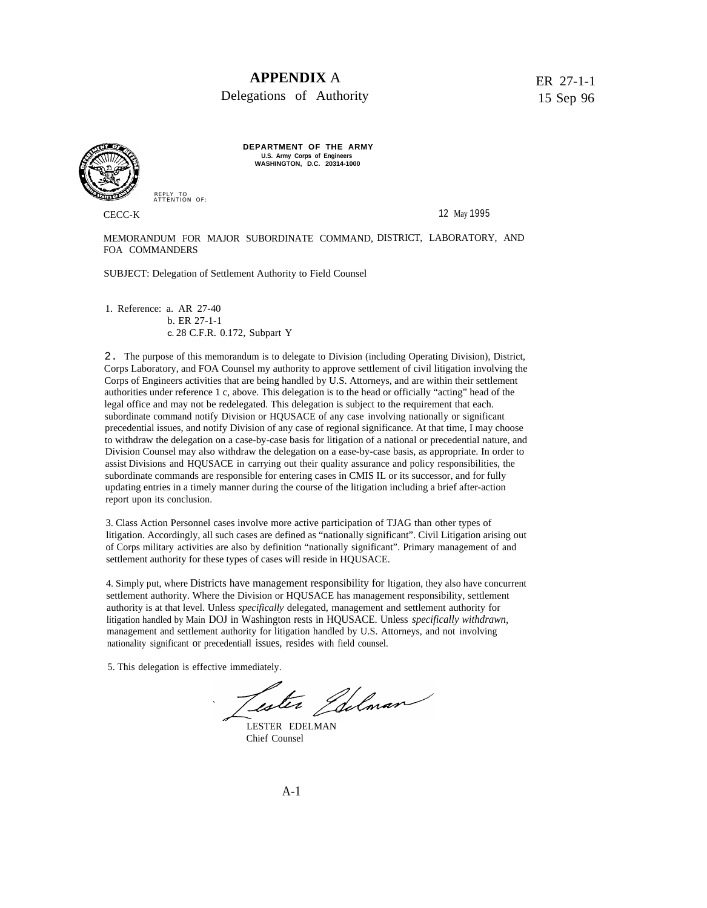## **APPENDIX** A

Delegations of Authority

ER 27-1-1 15 Sep 96



**DEPARTMENT OF THE ARMY U.S. Army Corps of Engineers WASHINGTON, D.C. 20314-1000**

CECC-K 12 May 1995

MEMORANDUM FOR MAJOR SUBORDINATE COMMAND, DISTRICT, LABORATORY, AND FOA COMMANDERS

SUBJECT: Delegation of Settlement Authority to Field Counsel

1. Reference: a. AR 27-40 b. ER 27-1-1 **C.** 28 C.F.R. 0.172, Subpart Y

REPLY TO ATTENTION OF:

2. The purpose of this memorandum is to delegate to Division (including Operating Division), District, Corps Laboratory, and FOA Counsel my authority to approve settlement of civil litigation involving the Corps of Engineers activities that are being handled by U.S. Attorneys, and are within their settlement authorities under reference 1 c, above. This delegation is to the head or officially "acting" head of the legal office and may not be redelegated. This delegation is subject to the requirement that each. subordinate command notify Division or HQUSACE of any case involving nationally or significant precedential issues, and notify Division of any case of regional significance. At that time, I may choose to withdraw the delegation on a case-by-case basis for litigation of a national or precedential nature, and Division Counsel may also withdraw the delegation on a ease-by-case basis, as appropriate. In order to assist Divisions and HQUSACE in carrying out their quality assurance and policy responsibilities, the subordinate commands are responsible for entering cases in CMIS IL or its successor, and for fully updating entries in a timely manner during the course of the litigation including a brief after-action report upon its conclusion.

3. Class Action Personnel cases involve more active participation of TJAG than other types of litigation. Accordingly, all such cases are defined as "nationally significant". Civil Litigation arising out of Corps military activities are also by definition "nationally significant". Primary management of and settlement authority for these types of cases will reside in HQUSACE.

4. Simply put, where Districts have management responsibility for ltigation, they also have concurrent settlement authority. Where the Division or HQUSACE has management responsibility, settlement authority is at that level. Unless *specifically* delegated, management and settlement authority for litigation handled by Main DOJ in Washington rests in HQUSACE. Unless *specifically withdrawn,* management and settlement authority for litigation handled by U.S. Attorneys, and not involving nationality significant or precedentiall issues, resides with field counsel.

5. This delegation is effective immediately.

Lester Idelman

LESTER EDELMAN Chief Counsel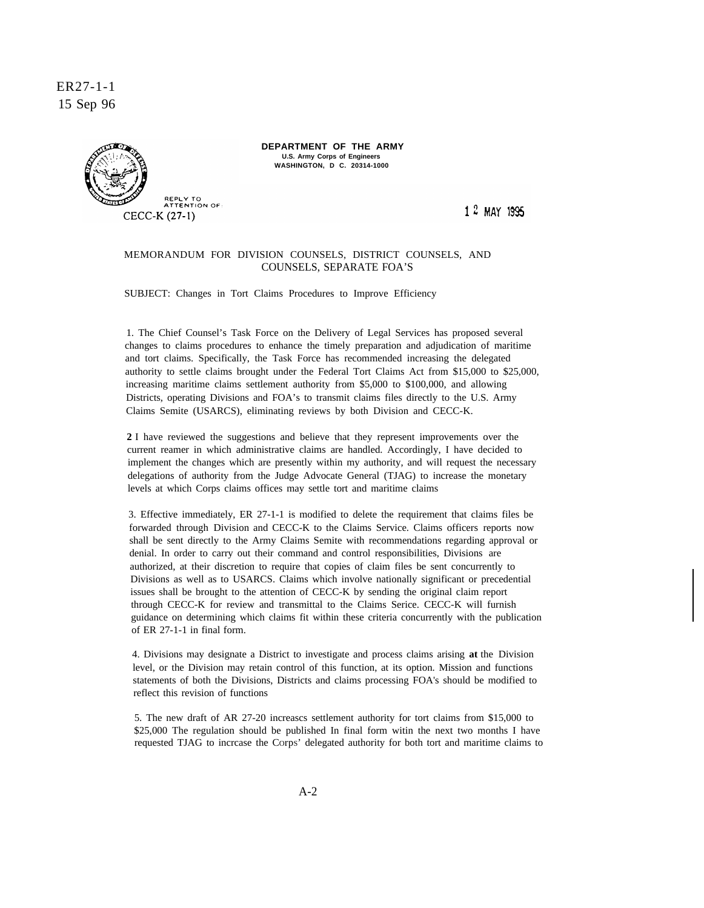

**DEPARTMENT OF THE ARMY U.S. Army Corps of Engineers WASHINGTON, D C. 20314-1000**

1 2 MAY 1995

#### MEMORANDUM FOR DIVISION COUNSELS, DISTRICT COUNSELS, AND COUNSELS, SEPARATE FOA'S

SUBJECT: Changes in Tort Claims Procedures to Improve Efficiency

1. The Chief Counsel's Task Force on the Delivery of Legal Services has proposed several changes to claims procedures to enhance the timely preparation and adjudication of maritime and tort claims. Specifically, the Task Force has recommended increasing the delegated authority to settle claims brought under the Federal Tort Claims Act from \$15,000 to \$25,000, increasing maritime claims settlement authority from \$5,000 to \$100,000, and allowing Districts, operating Divisions and FOA's to transmit claims files directly to the U.S. Army Claims Semite (USARCS), eliminating reviews by both Division and CECC-K.

**2** I have reviewed the suggestions and believe that they represent improvements over the current reamer in which administrative claims are handled. Accordingly, I have decided to implement the changes which are presently within my authority, and will request the necessary delegations of authority from the Judge Advocate General (TJAG) to increase the monetary levels at which Corps claims offices may settle tort and maritime claims

3. Effective immediately, ER 27-1-1 is modified to delete the requirement that claims files be forwarded through Division and CECC-K to the Claims Service. Claims officers reports now shall be sent directly to the Army Claims Semite with recommendations regarding approval or denial. In order to carry out their command and control responsibilities, Divisions are authorized, at their discretion to require that copies of claim files be sent concurrently to Divisions as well as to USARCS. Claims which involve nationally significant or precedential issues shall be brought to the attention of CECC-K by sending the original claim report through CECC-K for review and transmittal to the Claims Serice. CECC-K will furnish guidance on determining which claims fit within these criteria concurrently with the publication of ER 27-1-1 in final form.

4. Divisions may designate a District to investigate and process claims arising **at** the Division level, or the Division may retain control of this function, at its option. Mission and functions statements of both the Divisions, Districts and claims processing FOA's should be modified to reflect this revision of functions

5. The new draft of AR 27-20 increascs settlement authority for tort claims from \$15,000 to \$25,000 The regulation should be published In final form witin the next two months I have requested TJAG to incrcase the COrpS' delegated authority for both tort and maritime claims to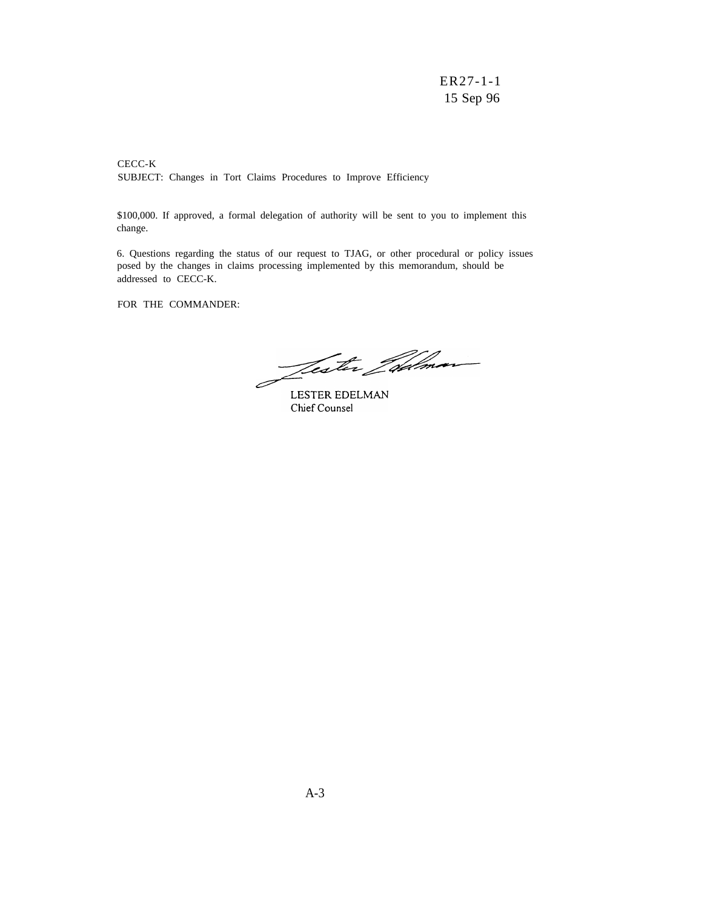CECC-K SUBJECT: Changes in Tort Claims Procedures to Improve Efficiency

\$100,000. If approved, a formal delegation of authority will be sent to you to implement this change.

6. Questions regarding the status of our request to TJAG, or other procedural or policy issues posed by the changes in claims processing implemented by this memorandum, should be addressed to CECC-K.

FOR THE COMMANDER:

<u>Jester Jødman</u>  $\overline{\mathscr{O}}$ 

LESTER EDELMAN Chief Counsel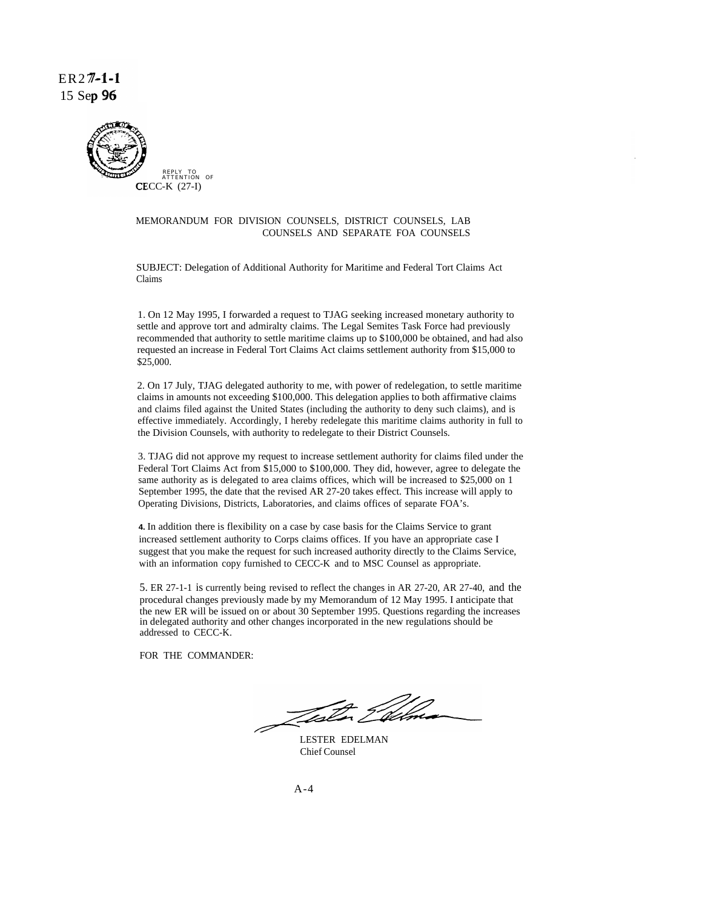ER27-1-I 15 Sep 96



#### MEMORANDUM FOR DIVISION COUNSELS, DISTRICT COUNSELS, LAB COUNSELS AND SEPARATE FOA COUNSELS

SUBJECT: Delegation of Additional Authority for Maritime and Federal Tort Claims Act Claims

1. On 12 May 1995, I forwarded a request to TJAG seeking increased monetary authority to settle and approve tort and admiralty claims. The Legal Semites Task Force had previously recommended that authority to settle maritime claims up to \$100,000 be obtained, and had also requested an increase in Federal Tort Claims Act claims settlement authority from \$15,000 to \$25,000.

2. On 17 July, TJAG delegated authority to me, with power of redelegation, to settle maritime claims in amounts not exceeding \$100,000. This delegation applies to both affirmative claims and claims filed against the United States (including the authority to deny such claims), and is effective immediately. Accordingly, I hereby redelegate this maritime claims authority in full to the Division Counsels, with authority to redelegate to their District Counsels.

3. TJAG did not approve my request to increase settlement authority for claims filed under the Federal Tort Claims Act from \$15,000 to \$100,000. They did, however, agree to delegate the same authority as is delegated to area claims offices, which will be increased to \$25,000 on 1 September 1995, the date that the revised AR 27-20 takes effect. This increase will apply to Operating Divisions, Districts, Laboratories, and claims offices of separate FOA's.

**4.** In addition there is flexibility on a case by case basis for the Claims Service to grant increased settlement authority to Corps claims offices. If you have an appropriate case I suggest that you make the request for such increased authority directly to the Claims Service, with an information copy furnished to CECC-K and to MSC Counsel as appropriate.

5. ER 27-1-1 is currently being revised to reflect the changes in AR 27-20, AR 27-40, and the procedural changes previously made by my Memorandum of 12 May 1995. I anticipate that the new ER will be issued on or about 30 September 1995. Questions regarding the increases in delegated authority and other changes incorporated in the new regulations should be addressed to CECC-K.

FOR THE COMMANDER:

Fester Film

LESTER EDELMAN Chief Counsel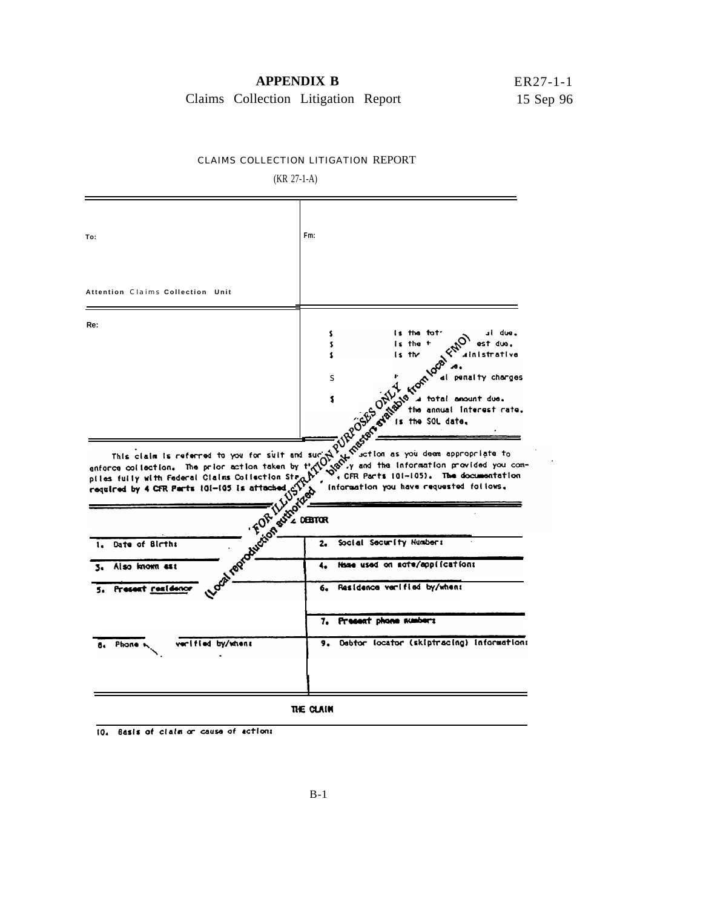### **APPENDIX B**

ER27-1-1 15 Sep 96

t.

Claims Collection Litigation Report

#### CLAIMS COLLECTION LITIGATION REPORT

(KR 27-1-A)

| To:                                                                                                                                                                                                                                                                                                       | Fm:                                                                                                                     |
|-----------------------------------------------------------------------------------------------------------------------------------------------------------------------------------------------------------------------------------------------------------------------------------------------------------|-------------------------------------------------------------------------------------------------------------------------|
| Attention Claims Collection Unit                                                                                                                                                                                                                                                                          |                                                                                                                         |
| Re:                                                                                                                                                                                                                                                                                                       | is the tot <sup>.</sup><br>⊿l due.<br>\$<br>is the +<br>est due.<br>\$<br>$is$ the<br>ainistrative<br>\$                |
|                                                                                                                                                                                                                                                                                                           | Between the annual laterest rate.<br>. CFR Parts (01-105). The documentation<br>information you have requested follows. |
|                                                                                                                                                                                                                                                                                                           |                                                                                                                         |
| Date of Births<br>1.                                                                                                                                                                                                                                                                                      | Social Security Numbers                                                                                                 |
| sa mom est<br>3.                                                                                                                                                                                                                                                                                          | Hame used on mote/application:                                                                                          |
| This claim is referred to you for suit and surjet of the print of the print of the print of the print of the print of the print of the print of the print of the print of the print of the print of the print of the print of<br><b>Canal Report of Library Rivers</b><br>5. Present <u>residenc</u><br>S | Residence varified by/when:                                                                                             |
|                                                                                                                                                                                                                                                                                                           | 7. Present phone numbers                                                                                                |

10. Basis of claim or cause of actions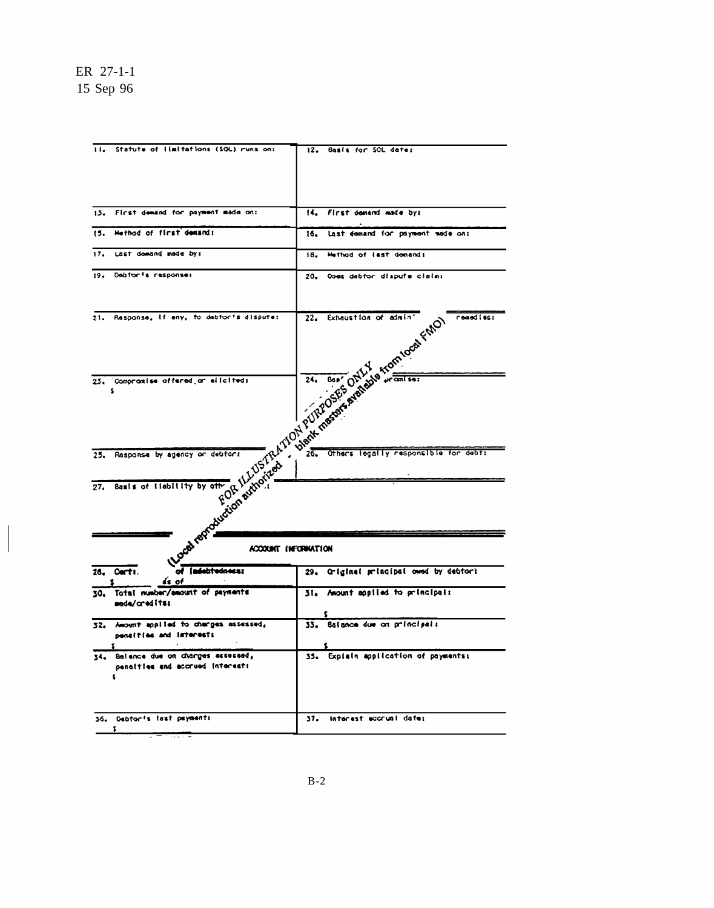| Statute of Ilmitations (SOL) runs on:<br>$\mathbf{u}$                         |                                                                                                                                                                                                                               |
|-------------------------------------------------------------------------------|-------------------------------------------------------------------------------------------------------------------------------------------------------------------------------------------------------------------------------|
|                                                                               | Basis for SOL dates<br>12.                                                                                                                                                                                                    |
|                                                                               |                                                                                                                                                                                                                               |
| First demand for payment made on:<br>13.                                      | 14. First demand made by:                                                                                                                                                                                                     |
| Hethod of first demands<br>15.                                                | last demand for payment made on:<br>16.                                                                                                                                                                                       |
| Last domand made by:<br>17.                                                   | Method of last denands<br>18.                                                                                                                                                                                                 |
| 19. Debtor's response:                                                        | 20. Opes debtor dispute claims                                                                                                                                                                                                |
| Response, if any, to debtor's dispute:<br>21.                                 | remed fest                                                                                                                                                                                                                    |
| 25. Compramise affered ar elloiteds<br>s                                      | Legal Refugees of the Michigan Property of the Michigan Property of the Michigan Property of the Michigan Property of the Michigan Property of the Michigan Property of the Michigan Property of the Michigan Property of the |
| Rasponse by agency or debtors<br>25.<br>Basis of Ilabillity by other<br>27.   | 26. Others legally responsible for debt:                                                                                                                                                                                      |
|                                                                               |                                                                                                                                                                                                                               |
| of [adebtedness:<br>Carti.<br>26.<br>ás of                                    | 29. Criginal principal owed by debtors                                                                                                                                                                                        |
| Total number/amount of payments                                               | 31. Amount applied to principals                                                                                                                                                                                              |
| 30,<br>mada/creditsk                                                          |                                                                                                                                                                                                                               |
| 32. Amount applied to changes assessed,<br>penalties and interests            | 5<br>Salance due on principals<br>33.                                                                                                                                                                                         |
| 34. Balance due on charges exsessed,<br>penalties and accrued interests<br>٤. | 35. Explain application of payments:                                                                                                                                                                                          |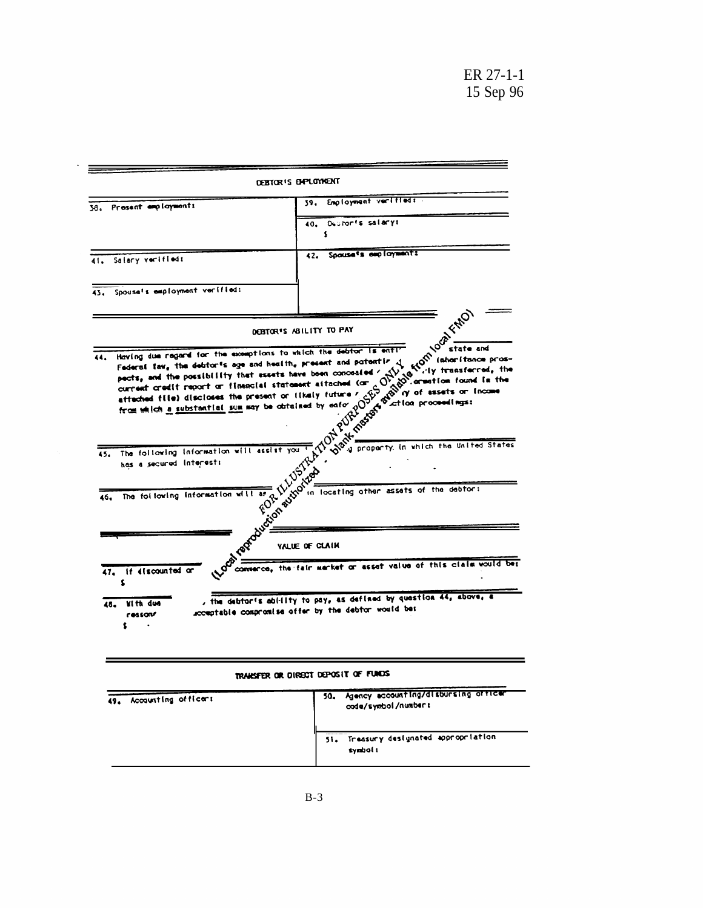÷.

|                                                                                                                                                                                                                                           | DEBTOR'S ENPLOYMENT                                                                                                                                                                                                            |
|-------------------------------------------------------------------------------------------------------------------------------------------------------------------------------------------------------------------------------------------|--------------------------------------------------------------------------------------------------------------------------------------------------------------------------------------------------------------------------------|
| 38. Present employments                                                                                                                                                                                                                   | Employment verified:<br>39.                                                                                                                                                                                                    |
|                                                                                                                                                                                                                                           | Deutonis salarys<br>40.                                                                                                                                                                                                        |
|                                                                                                                                                                                                                                           | s                                                                                                                                                                                                                              |
| 41. Salary verifieds                                                                                                                                                                                                                      | Spouse's employment:<br>42.                                                                                                                                                                                                    |
|                                                                                                                                                                                                                                           |                                                                                                                                                                                                                                |
| Spouse's employment verified:<br>43.                                                                                                                                                                                                      |                                                                                                                                                                                                                                |
|                                                                                                                                                                                                                                           |                                                                                                                                                                                                                                |
|                                                                                                                                                                                                                                           | <b>Komlogh Frich</b><br>DEBTOR'S ABILITY TO PAY                                                                                                                                                                                |
| Having due regard for the exceptions to which the debtor is enti-                                                                                                                                                                         |                                                                                                                                                                                                                                |
|                                                                                                                                                                                                                                           | Federal law, the debtor's age and health, present and potentiz                                                                                                                                                                 |
| pacts, and the possibility that essets have been concealed<br>current credit report or finencial statement attached (or<br>attached file) discloses the present or likely future<br>from which a substantial sum may be obtained by enfor |                                                                                                                                                                                                                                |
|                                                                                                                                                                                                                                           |                                                                                                                                                                                                                                |
| The following information will assist you<br>45.                                                                                                                                                                                          |                                                                                                                                                                                                                                |
| has a secured interest:                                                                                                                                                                                                                   | of the control of the state and the control of the control of the control of the control of the control of the control of the control of the control of the control of the control of the control of the control of the contro |
|                                                                                                                                                                                                                                           | in locating other assets of the debtor:                                                                                                                                                                                        |
| The following information will as<br>46,                                                                                                                                                                                                  | BUTTON B                                                                                                                                                                                                                       |
|                                                                                                                                                                                                                                           | FOR                                                                                                                                                                                                                            |
|                                                                                                                                                                                                                                           | <b>Luccion</b>                                                                                                                                                                                                                 |
| raptat                                                                                                                                                                                                                                    | VALUE OF CLAIM                                                                                                                                                                                                                 |
| 47. If discounted or                                                                                                                                                                                                                      | commerce, the fair merket or asset value of this claim would be:                                                                                                                                                               |
| <b>Vith due</b><br>48.                                                                                                                                                                                                                    | , the debtor's ability to pay, as defined by question 44, above, a<br>acceptable compromise offer by the debtor would be:                                                                                                      |

| TRANSFER OR DIRECT DEPOSIT OF FUNDS |                                                                     |
|-------------------------------------|---------------------------------------------------------------------|
| Accounting officers<br>49.          | Agency accounting/disbursing orricar<br>50.<br>code/symbol/number t |
|                                     | 51. Treasury designated appropriation<br>symbol 1                   |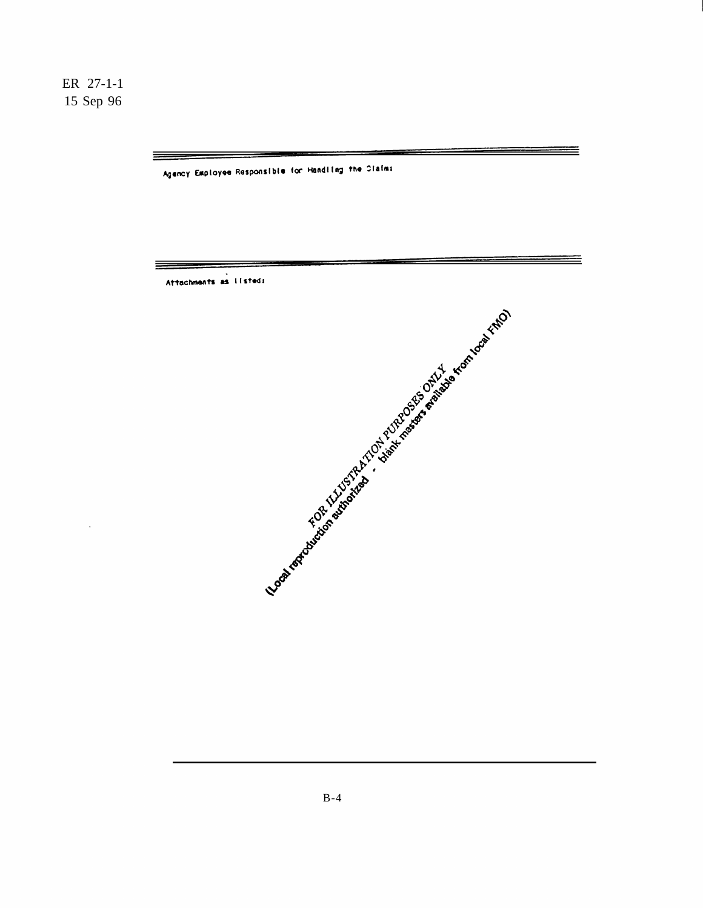$\overline{a}$ 

 $\equiv$ 

 $\equiv$ 

Agency Employee Responsible for Handling the Claims

Attachments as II stad:

≡